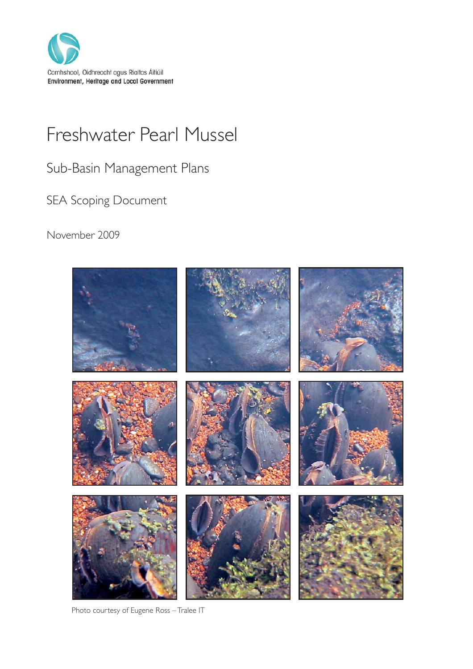

# Freshwater Pearl Mussel

Sub-Basin Management Plans

SEA Scoping Document

November 2009



Photo courtesy of Eugene Ross –Tralee IT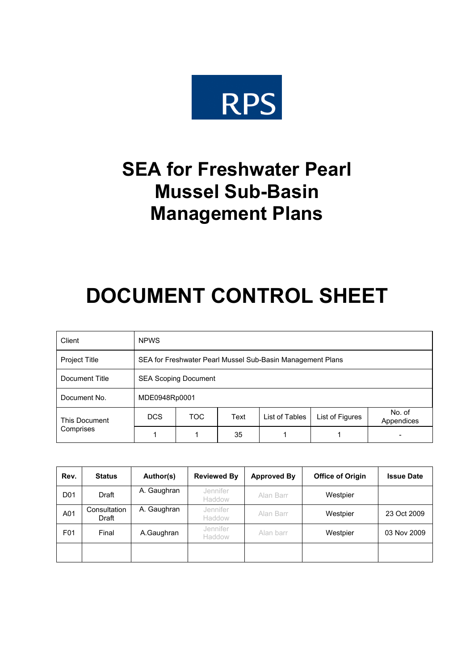

## **SEA for Freshwater Pearl Mussel Sub-Basin Management Plans**

# **DOCUMENT CONTROL SHEET**

| Client               | <b>NPWS</b>                 |                                                            |      |                |                 |                      |
|----------------------|-----------------------------|------------------------------------------------------------|------|----------------|-----------------|----------------------|
| <b>Project Title</b> |                             | SEA for Freshwater Pearl Mussel Sub-Basin Management Plans |      |                |                 |                      |
| Document Title       | <b>SEA Scoping Document</b> |                                                            |      |                |                 |                      |
| Document No.         | MDE0948Rp0001               |                                                            |      |                |                 |                      |
| This Document        | DCS                         | <b>TOC</b>                                                 | Text | List of Tables | List of Figures | No. of<br>Appendices |
| Comprises            |                             |                                                            | 35   |                |                 |                      |

| Rev.            | <b>Status</b>         | Author(s)   | <b>Reviewed By</b> | <b>Approved By</b> | <b>Office of Origin</b> | <b>Issue Date</b> |
|-----------------|-----------------------|-------------|--------------------|--------------------|-------------------------|-------------------|
| D <sub>01</sub> | Draft                 | A. Gaughran | Jennifer<br>Haddow | Alan Barr          | Westpier                |                   |
| A01             | Consultation<br>Draft | A. Gaughran | Jennifer<br>Haddow | Alan Barr          | Westpier                | 23 Oct 2009       |
| F01             | Final                 | A.Gaughran  | Jennifer<br>Haddow | Alan barr          | Westpier                | 03 Nov 2009       |
|                 |                       |             |                    |                    |                         |                   |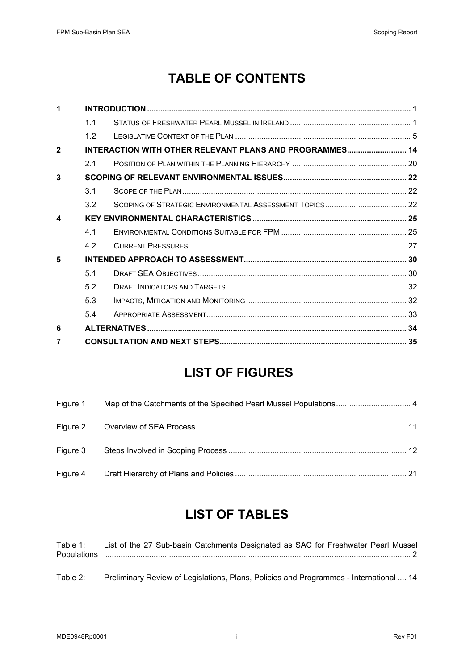## **TABLE OF CONTENTS**

| 7            |     |                                                         |  |
|--------------|-----|---------------------------------------------------------|--|
| 6            |     |                                                         |  |
|              | 54  |                                                         |  |
|              | 5.3 |                                                         |  |
|              | 5.2 |                                                         |  |
|              | 5.1 |                                                         |  |
| 5            |     |                                                         |  |
|              | 4.2 |                                                         |  |
|              | 4.1 |                                                         |  |
| 4            |     |                                                         |  |
|              | 3.2 |                                                         |  |
|              | 3.1 |                                                         |  |
| 3            |     |                                                         |  |
|              | 2.1 |                                                         |  |
| $\mathbf{2}$ |     | INTERACTION WITH OTHER RELEVANT PLANS AND PROGRAMMES 14 |  |
|              | 1.2 |                                                         |  |
|              | 1.1 |                                                         |  |
| 1            |     |                                                         |  |

## **LIST OF FIGURES**

| Figure 1 |  |
|----------|--|
|          |  |
| Figure 3 |  |
| Figure 4 |  |

## **LIST OF TABLES**

Table 1: List of the 27 Sub-basin Catchments Designated as SAC for Freshwater Pearl Mussel Populations ........................................................................................................................................... 2

Table 2: Preliminary Review of Legislations, Plans, Policies and Programmes - International .... 14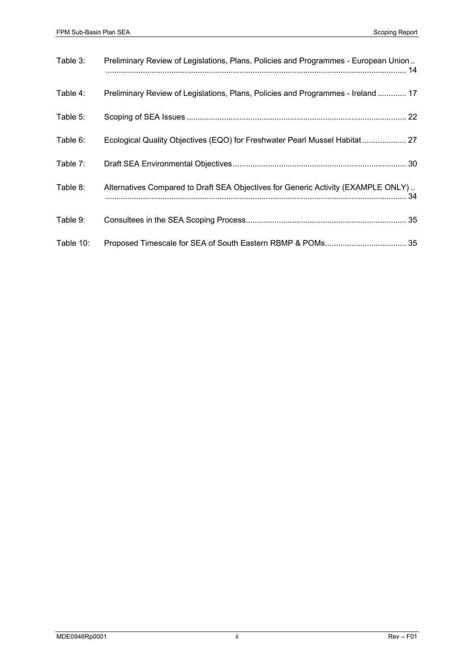| Table 3:  | Preliminary Review of Legislations, Plans, Policies and Programmes - European Union |
|-----------|-------------------------------------------------------------------------------------|
| Table 4:  | Preliminary Review of Legislations, Plans, Policies and Programmes - Ireland  17    |
| Table 5:  |                                                                                     |
| Table 6:  | Ecological Quality Objectives (EQO) for Freshwater Pearl Mussel Habitat  27         |
| Table 7:  |                                                                                     |
| Table 8:  | Alternatives Compared to Draft SEA Objectives for Generic Activity (EXAMPLE ONLY)   |
| Table 9:  |                                                                                     |
| Table 10: |                                                                                     |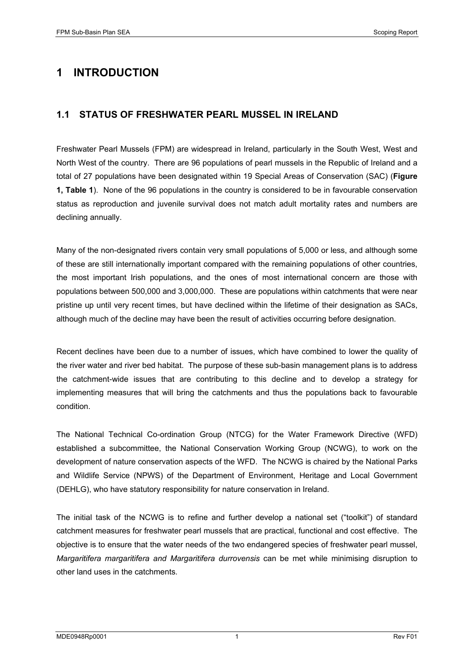## **1 INTRODUCTION**

#### **1.1 STATUS OF FRESHWATER PEARL MUSSEL IN IRELAND**

Freshwater Pearl Mussels (FPM) are widespread in Ireland, particularly in the South West, West and North West of the country. There are 96 populations of pearl mussels in the Republic of Ireland and a total of 27 populations have been designated within 19 Special Areas of Conservation (SAC) (**Figure 1, Table 1**). None of the 96 populations in the country is considered to be in favourable conservation status as reproduction and juvenile survival does not match adult mortality rates and numbers are declining annually.

Many of the non-designated rivers contain very small populations of 5,000 or less, and although some of these are still internationally important compared with the remaining populations of other countries, the most important Irish populations, and the ones of most international concern are those with populations between 500,000 and 3,000,000. These are populations within catchments that were near pristine up until very recent times, but have declined within the lifetime of their designation as SACs, although much of the decline may have been the result of activities occurring before designation.

Recent declines have been due to a number of issues, which have combined to lower the quality of the river water and river bed habitat. The purpose of these sub-basin management plans is to address the catchment-wide issues that are contributing to this decline and to develop a strategy for implementing measures that will bring the catchments and thus the populations back to favourable condition.

The National Technical Co-ordination Group (NTCG) for the Water Framework Directive (WFD) established a subcommittee, the National Conservation Working Group (NCWG), to work on the development of nature conservation aspects of the WFD. The NCWG is chaired by the National Parks and Wildlife Service (NPWS) of the Department of Environment, Heritage and Local Government (DEHLG), who have statutory responsibility for nature conservation in Ireland.

The initial task of the NCWG is to refine and further develop a national set ("toolkit") of standard catchment measures for freshwater pearl mussels that are practical, functional and cost effective. The objective is to ensure that the water needs of the two endangered species of freshwater pearl mussel, *Margaritifera margaritifera and Margaritifera durrovensis* can be met while minimising disruption to other land uses in the catchments*.*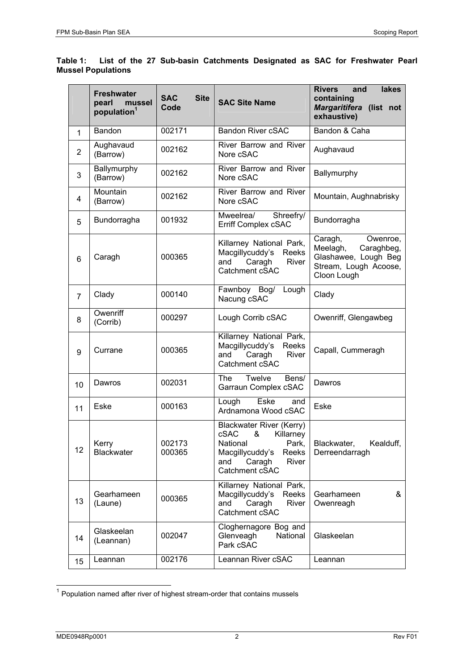#### **Table 1: List of the 27 Sub-basin Catchments Designated as SAC for Freshwater Pearl Mussel Populations**

|                | <b>Freshwater</b><br>pearl<br>mussel<br>population <sup>1</sup> | <b>SAC</b><br><b>Site</b><br>Code | <b>SAC Site Name</b>                                                                                                                            | <b>Rivers</b><br>lakes<br>and<br>containing<br>Margaritifera (list not<br>exhaustive)                         |
|----------------|-----------------------------------------------------------------|-----------------------------------|-------------------------------------------------------------------------------------------------------------------------------------------------|---------------------------------------------------------------------------------------------------------------|
| 1              | Bandon                                                          | 002171                            | <b>Bandon River cSAC</b>                                                                                                                        | Bandon & Caha                                                                                                 |
| $\overline{2}$ | Aughavaud<br>(Barrow)                                           | 002162                            | River Barrow and River<br>Nore cSAC                                                                                                             | Aughavaud                                                                                                     |
| 3              | Ballymurphy<br>(Barrow)                                         | 002162                            | River Barrow and River<br>Nore cSAC                                                                                                             | Ballymurphy                                                                                                   |
| 4              | Mountain<br>(Barrow)                                            | 002162                            | River Barrow and River<br>Nore cSAC                                                                                                             | Mountain, Aughnabrisky                                                                                        |
| 5              | Bundorragha                                                     | 001932                            | Mweelrea/<br>Shreefry/<br>Erriff Complex cSAC                                                                                                   | Bundorragha                                                                                                   |
| 6              | Caragh                                                          | 000365                            | Killarney National Park,<br>Macgillycuddy's<br>Reeks<br>Caragh<br>River<br>and<br>Catchment cSAC                                                | Caragh,<br>Owenroe,<br>Meelagh,<br>Caraghbeg,<br>Glashawee, Lough Beg<br>Stream, Lough Acoose,<br>Cloon Lough |
| $\overline{7}$ | Clady                                                           | 000140                            | Fawnboy Bog/<br>Lough<br>Nacung cSAC                                                                                                            | Clady                                                                                                         |
| 8              | Owenriff<br>(Corrib)                                            | 000297                            | Lough Corrib cSAC                                                                                                                               | Owenriff, Glengawbeg                                                                                          |
| 9              | Currane                                                         | 000365                            | Killarney National Park,<br>Macgillycuddy's<br>Reeks<br>Caragh<br>River<br>and<br>Catchment cSAC                                                | Capall, Cummeragh                                                                                             |
| 10             | Dawros                                                          | 002031                            | Twelve<br>The<br>Bens/<br>Garraun Complex cSAC                                                                                                  | Dawros                                                                                                        |
| 11             | Eske                                                            | 000163                            | Eske<br>Lough<br>and<br>Ardnamona Wood cSAC                                                                                                     | Eske                                                                                                          |
| 12             | Kerry<br><b>Blackwater</b>                                      | 002173<br>000365                  | Blackwater River (Kerry)<br>cSAC<br>&<br>Killarney<br>National<br>Park,<br>Macgillycuddy's<br>Reeks<br>Caragh<br>River<br>and<br>Catchment cSAC | Blackwater,<br>Kealduff,<br>Derreendarragh                                                                    |
| 13             | Gearhameen<br>(Laune)                                           | 000365                            | Killarney National Park,<br>Macgillycuddy's<br><b>Reeks</b><br>and<br>Caragh<br>River<br>Catchment cSAC                                         | &<br>Gearhameen<br>Owenreagh                                                                                  |
| 14             | Glaskeelan<br>(Leannan)                                         | 002047                            | Cloghernagore Bog and<br>Glenveagh<br>National<br>Park cSAC                                                                                     | Glaskeelan                                                                                                    |
| 15             | Leannan                                                         | 002176                            | Leannan River cSAC                                                                                                                              | Leannan                                                                                                       |

 $1$  Population named after river of highest stream-order that contains mussels

1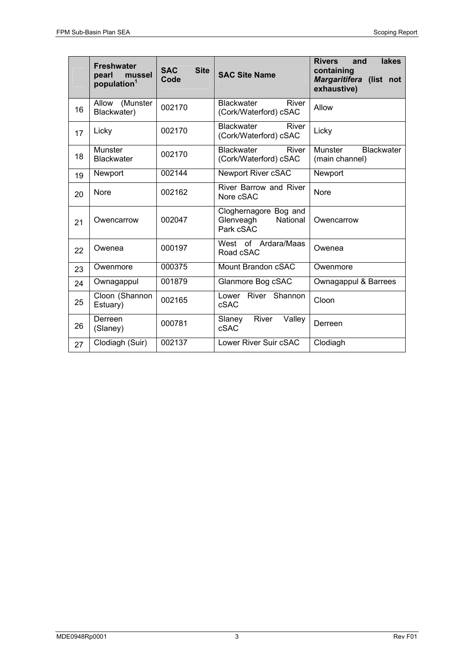|    | <b>Freshwater</b><br>pearl<br>mussel<br>population <sup>1</sup> | <b>SAC</b><br><b>Site</b><br>Code | <b>SAC Site Name</b>                                        | lakes<br><b>Rivers</b><br>and<br>containing<br>Margaritifera (list not<br>exhaustive) |
|----|-----------------------------------------------------------------|-----------------------------------|-------------------------------------------------------------|---------------------------------------------------------------------------------------|
| 16 | Allow<br>(Munster<br>Blackwater)                                | 002170                            | <b>Blackwater</b><br>River<br>(Cork/Waterford) cSAC         | Allow                                                                                 |
| 17 | Licky                                                           | 002170                            | Blackwater<br>River<br>(Cork/Waterford) cSAC                | Licky                                                                                 |
| 18 | Munster<br><b>Blackwater</b>                                    | 002170                            | <b>Blackwater</b><br>River<br>(Cork/Waterford) cSAC         | Munster<br><b>Blackwater</b><br>(main channel)                                        |
| 19 | Newport                                                         | 002144                            | Newport River cSAC                                          | Newport                                                                               |
| 20 | <b>Nore</b>                                                     | 002162                            | <b>River Barrow and River</b><br>Nore cSAC                  | <b>Nore</b>                                                                           |
| 21 | Owencarrow                                                      | 002047                            | Cloghernagore Bog and<br>National<br>Glenveagh<br>Park cSAC | Owencarrow                                                                            |
| 22 | Owenea                                                          | 000197                            | West of Ardara/Maas<br>Road cSAC                            | Owenea                                                                                |
| 23 | Owenmore                                                        | 000375                            | Mount Brandon cSAC                                          | Owenmore                                                                              |
| 24 | Ownagappul                                                      | 001879                            | Glanmore Bog cSAC                                           | Ownagappul & Barrees                                                                  |
| 25 | Cloon (Shannon<br>Estuary)                                      | 002165                            | Lower River Shannon<br>cSAC                                 | Cloon                                                                                 |
| 26 | Derreen<br>(Slaney)                                             | 000781                            | River<br>Slaney<br>Valley<br>cSAC                           | Derreen                                                                               |
| 27 | Clodiagh (Suir)                                                 | 002137                            | Lower River Suir cSAC                                       | Clodiagh                                                                              |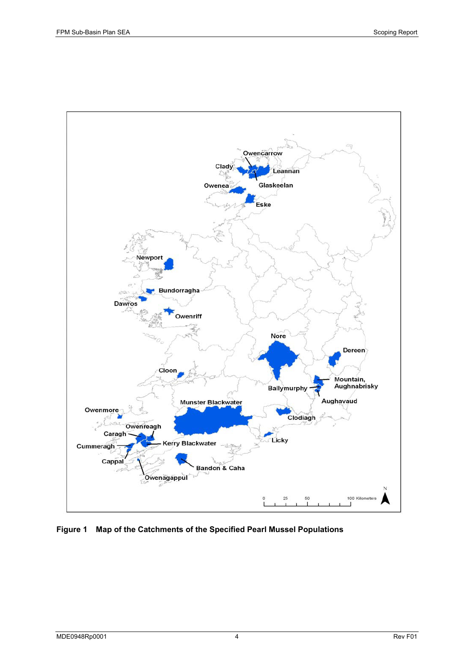

#### **Figure 1 Map of the Catchments of the Specified Pearl Mussel Populations**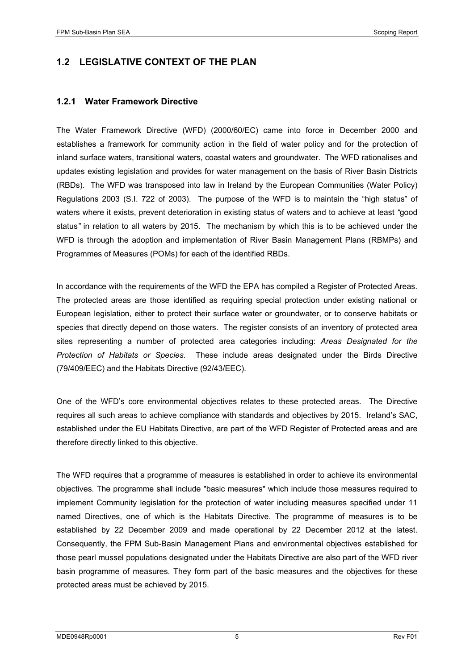### **1.2 LEGISLATIVE CONTEXT OF THE PLAN**

#### **1.2.1 Water Framework Directive**

The Water Framework Directive (WFD) (2000/60/EC) came into force in December 2000 and establishes a framework for community action in the field of water policy and for the protection of inland surface waters, transitional waters, coastal waters and groundwater. The WFD rationalises and updates existing legislation and provides for water management on the basis of River Basin Districts (RBDs). The WFD was transposed into law in Ireland by the European Communities (Water Policy) Regulations 2003 (S.I. 722 of 2003). The purpose of the WFD is to maintain the "high status" of waters where it exists, prevent deterioration in existing status of waters and to achieve at least *"*good status*"* in relation to all waters by 2015. The mechanism by which this is to be achieved under the WFD is through the adoption and implementation of River Basin Management Plans (RBMPs) and Programmes of Measures (POMs) for each of the identified RBDs.

In accordance with the requirements of the WFD the EPA has compiled a Register of Protected Areas. The protected areas are those identified as requiring special protection under existing national or European legislation, either to protect their surface water or groundwater, or to conserve habitats or species that directly depend on those waters. The register consists of an inventory of protected area sites representing a number of protected area categories including: *Areas Designated for the Protection of Habitats or Species*. These include areas designated under the Birds Directive (79/409/EEC) and the Habitats Directive (92/43/EEC).

One of the WFD's core environmental objectives relates to these protected areas. The Directive requires all such areas to achieve compliance with standards and objectives by 2015. Ireland's SAC, established under the EU Habitats Directive, are part of the WFD Register of Protected areas and are therefore directly linked to this objective.

The WFD requires that a programme of measures is established in order to achieve its environmental objectives. The programme shall include "basic measures" which include those measures required to implement Community legislation for the protection of water including measures specified under 11 named Directives, one of which is the Habitats Directive. The programme of measures is to be established by 22 December 2009 and made operational by 22 December 2012 at the latest. Consequently, the FPM Sub-Basin Management Plans and environmental objectives established for those pearl mussel populations designated under the Habitats Directive are also part of the WFD river basin programme of measures. They form part of the basic measures and the objectives for these protected areas must be achieved by 2015.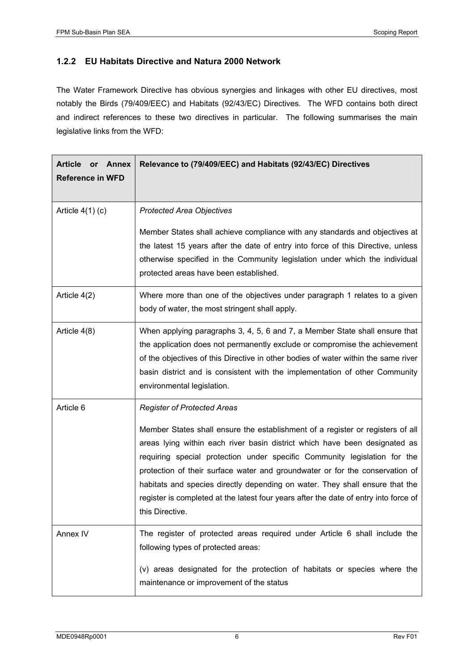#### **1.2.2 EU Habitats Directive and Natura 2000 Network**

The Water Framework Directive has obvious synergies and linkages with other EU directives, most notably the Birds (79/409/EEC) and Habitats (92/43/EC) Directives. The WFD contains both direct and indirect references to these two directives in particular. The following summarises the main legislative links from the WFD:

| <b>Article</b><br>Annex<br><b>or</b><br><b>Reference in WFD</b> | Relevance to (79/409/EEC) and Habitats (92/43/EC) Directives                                                                                                                                                                                                                                                                                                                                                                                                                                                                                               |
|-----------------------------------------------------------------|------------------------------------------------------------------------------------------------------------------------------------------------------------------------------------------------------------------------------------------------------------------------------------------------------------------------------------------------------------------------------------------------------------------------------------------------------------------------------------------------------------------------------------------------------------|
| Article $4(1)$ (c)                                              | <b>Protected Area Objectives</b>                                                                                                                                                                                                                                                                                                                                                                                                                                                                                                                           |
|                                                                 | Member States shall achieve compliance with any standards and objectives at<br>the latest 15 years after the date of entry into force of this Directive, unless<br>otherwise specified in the Community legislation under which the individual<br>protected areas have been established.                                                                                                                                                                                                                                                                   |
| Article 4(2)                                                    | Where more than one of the objectives under paragraph 1 relates to a given<br>body of water, the most stringent shall apply.                                                                                                                                                                                                                                                                                                                                                                                                                               |
| Article 4(8)                                                    | When applying paragraphs 3, 4, 5, 6 and 7, a Member State shall ensure that<br>the application does not permanently exclude or compromise the achievement<br>of the objectives of this Directive in other bodies of water within the same river<br>basin district and is consistent with the implementation of other Community<br>environmental legislation.                                                                                                                                                                                               |
| Article 6                                                       | <b>Register of Protected Areas</b><br>Member States shall ensure the establishment of a register or registers of all<br>areas lying within each river basin district which have been designated as<br>requiring special protection under specific Community legislation for the<br>protection of their surface water and groundwater or for the conservation of<br>habitats and species directly depending on water. They shall ensure that the<br>register is completed at the latest four years after the date of entry into force of<br>this Directive. |
| Annex IV                                                        | The register of protected areas required under Article 6 shall include the<br>following types of protected areas:<br>(v) areas designated for the protection of habitats or species where the<br>maintenance or improvement of the status                                                                                                                                                                                                                                                                                                                  |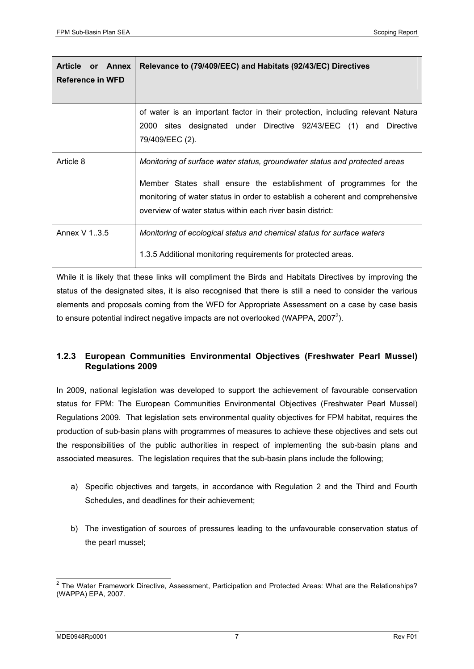| Article or Annex<br>Reference in WFD | Relevance to (79/409/EEC) and Habitats (92/43/EC) Directives                                                                                                                                                                                                                                    |  |
|--------------------------------------|-------------------------------------------------------------------------------------------------------------------------------------------------------------------------------------------------------------------------------------------------------------------------------------------------|--|
|                                      | of water is an important factor in their protection, including relevant Natura<br>2000 sites designated under Directive 92/43/EEC (1) and Directive<br>79/409/EEC (2).                                                                                                                          |  |
| Article 8                            | Monitoring of surface water status, groundwater status and protected areas<br>Member States shall ensure the establishment of programmes for the<br>monitoring of water status in order to establish a coherent and comprehensive<br>overview of water status within each river basin district: |  |
| Annex V 1.3.5                        | Monitoring of ecological status and chemical status for surface waters<br>1.3.5 Additional monitoring requirements for protected areas.                                                                                                                                                         |  |

While it is likely that these links will compliment the Birds and Habitats Directives by improving the status of the designated sites, it is also recognised that there is still a need to consider the various elements and proposals coming from the WFD for Appropriate Assessment on a case by case basis to ensure potential indirect negative impacts are not overlooked (WAPPA, 2007<sup>2</sup>).

#### **1.2.3 European Communities Environmental Objectives (Freshwater Pearl Mussel) Regulations 2009**

In 2009, national legislation was developed to support the achievement of favourable conservation status for FPM: The European Communities Environmental Objectives (Freshwater Pearl Mussel) Regulations 2009. That legislation sets environmental quality objectives for FPM habitat, requires the production of sub-basin plans with programmes of measures to achieve these objectives and sets out the responsibilities of the public authorities in respect of implementing the sub-basin plans and associated measures. The legislation requires that the sub-basin plans include the following;

- a) Specific objectives and targets, in accordance with Regulation 2 and the Third and Fourth Schedules, and deadlines for their achievement;
- b) The investigation of sources of pressures leading to the unfavourable conservation status of the pearl mussel;

<sup>-</sup><sup>2</sup> The Water Framework Directive, Assessment, Participation and Protected Areas: What are the Relationships? (WAPPA) EPA, 2007.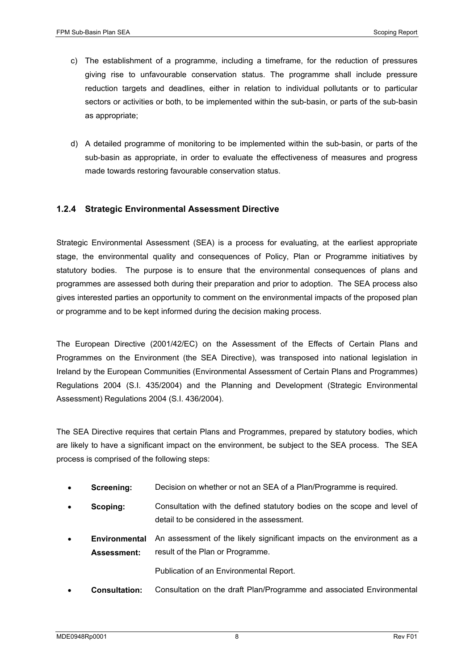- c) The establishment of a programme, including a timeframe, for the reduction of pressures giving rise to unfavourable conservation status. The programme shall include pressure reduction targets and deadlines, either in relation to individual pollutants or to particular sectors or activities or both, to be implemented within the sub-basin, or parts of the sub-basin as appropriate;
- d) A detailed programme of monitoring to be implemented within the sub-basin, or parts of the sub-basin as appropriate, in order to evaluate the effectiveness of measures and progress made towards restoring favourable conservation status.

#### **1.2.4 Strategic Environmental Assessment Directive**

Strategic Environmental Assessment (SEA) is a process for evaluating, at the earliest appropriate stage, the environmental quality and consequences of Policy, Plan or Programme initiatives by statutory bodies. The purpose is to ensure that the environmental consequences of plans and programmes are assessed both during their preparation and prior to adoption. The SEA process also gives interested parties an opportunity to comment on the environmental impacts of the proposed plan or programme and to be kept informed during the decision making process.

The European Directive (2001/42/EC) on the Assessment of the Effects of Certain Plans and Programmes on the Environment (the SEA Directive), was transposed into national legislation in Ireland by the European Communities (Environmental Assessment of Certain Plans and Programmes) Regulations 2004 (S.I. 435/2004) and the Planning and Development (Strategic Environmental Assessment) Regulations 2004 (S.I. 436/2004).

The SEA Directive requires that certain Plans and Programmes, prepared by statutory bodies, which are likely to have a significant impact on the environment, be subject to the SEA process. The SEA process is comprised of the following steps:

- **Screening:** Decision on whether or not an SEA of a Plan/Programme is required.
- **Scoping:** Consultation with the defined statutory bodies on the scope and level of detail to be considered in the assessment.
- **Environmental**  An assessment of the likely significant impacts on the environment as a **Assessment:**  result of the Plan or Programme.

Publication of an Environmental Report.

• **Consultation:** Consultation on the draft Plan/Programme and associated Environmental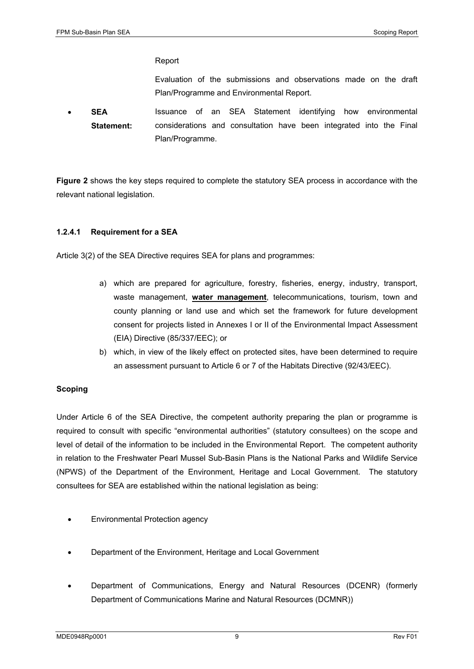#### Report

Evaluation of the submissions and observations made on the draft Plan/Programme and Environmental Report.

• **SEA Statement:**  Issuance of an SEA Statement identifying how environmental considerations and consultation have been integrated into the Final Plan/Programme.

**Figure 2** shows the key steps required to complete the statutory SEA process in accordance with the relevant national legislation.

#### **1.2.4.1 Requirement for a SEA**

Article 3(2) of the SEA Directive requires SEA for plans and programmes:

- a) which are prepared for agriculture, forestry, fisheries, energy, industry, transport, waste management, **water management**, telecommunications, tourism, town and county planning or land use and which set the framework for future development consent for projects listed in Annexes I or II of the Environmental Impact Assessment (EIA) Directive (85/337/EEC); or
- b) which, in view of the likely effect on protected sites, have been determined to require an assessment pursuant to Article 6 or 7 of the Habitats Directive (92/43/EEC).

#### **Scoping**

Under Article 6 of the SEA Directive, the competent authority preparing the plan or programme is required to consult with specific "environmental authorities" (statutory consultees) on the scope and level of detail of the information to be included in the Environmental Report. The competent authority in relation to the Freshwater Pearl Mussel Sub-Basin Plans is the National Parks and Wildlife Service (NPWS) of the Department of the Environment, Heritage and Local Government. The statutory consultees for SEA are established within the national legislation as being:

- Environmental Protection agency
- Department of the Environment, Heritage and Local Government
- Department of Communications, Energy and Natural Resources (DCENR) (formerly Department of Communications Marine and Natural Resources (DCMNR))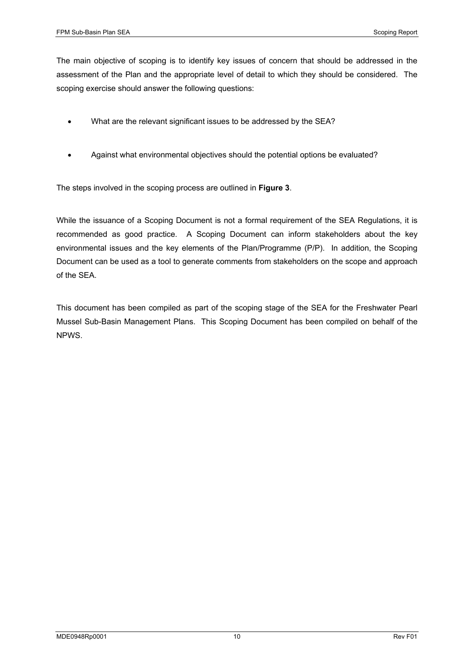The main objective of scoping is to identify key issues of concern that should be addressed in the assessment of the Plan and the appropriate level of detail to which they should be considered. The scoping exercise should answer the following questions:

- What are the relevant significant issues to be addressed by the SEA?
- Against what environmental objectives should the potential options be evaluated?

The steps involved in the scoping process are outlined in **Figure 3**.

While the issuance of a Scoping Document is not a formal requirement of the SEA Regulations, it is recommended as good practice. A Scoping Document can inform stakeholders about the key environmental issues and the key elements of the Plan/Programme (P/P). In addition, the Scoping Document can be used as a tool to generate comments from stakeholders on the scope and approach of the SEA.

This document has been compiled as part of the scoping stage of the SEA for the Freshwater Pearl Mussel Sub-Basin Management Plans. This Scoping Document has been compiled on behalf of the NPWS.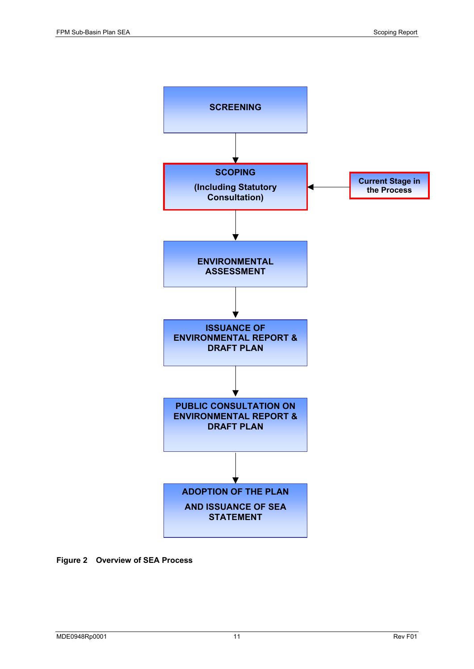

**Figure 2 Overview of SEA Process**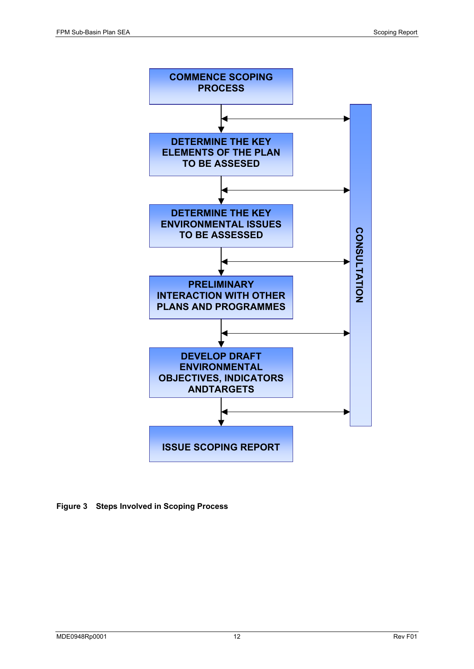

**Figure 3 Steps Involved in Scoping Process**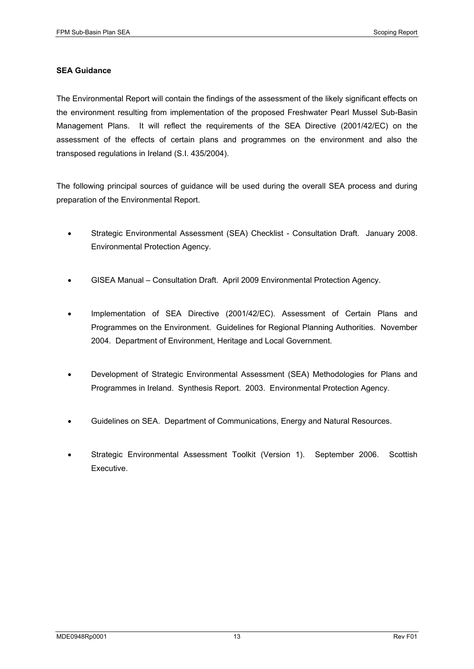#### **SEA Guidance**

The Environmental Report will contain the findings of the assessment of the likely significant effects on the environment resulting from implementation of the proposed Freshwater Pearl Mussel Sub-Basin Management Plans. It will reflect the requirements of the SEA Directive (2001/42/EC) on the assessment of the effects of certain plans and programmes on the environment and also the transposed regulations in Ireland (S.I. 435/2004).

The following principal sources of guidance will be used during the overall SEA process and during preparation of the Environmental Report.

- Strategic Environmental Assessment (SEA) Checklist Consultation Draft. January 2008. Environmental Protection Agency.
- GISEA Manual Consultation Draft. April 2009 Environmental Protection Agency.
- Implementation of SEA Directive (2001/42/EC). Assessment of Certain Plans and Programmes on the Environment. Guidelines for Regional Planning Authorities. November 2004. Department of Environment, Heritage and Local Government.
- Development of Strategic Environmental Assessment (SEA) Methodologies for Plans and Programmes in Ireland. Synthesis Report. 2003. Environmental Protection Agency.
- Guidelines on SEA. Department of Communications, Energy and Natural Resources.
- Strategic Environmental Assessment Toolkit (Version 1). September 2006. Scottish Executive.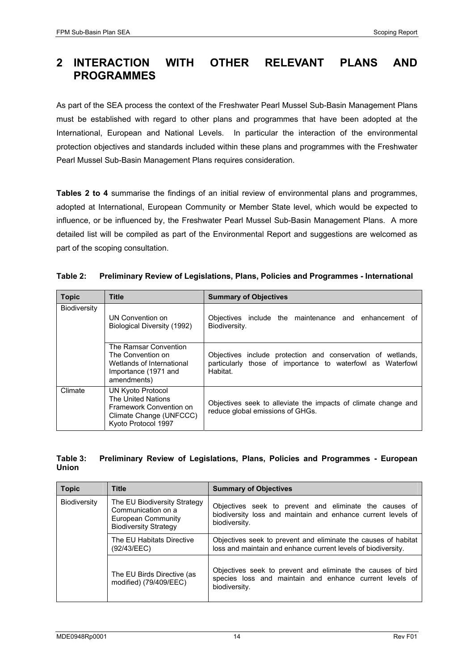## **2 INTERACTION WITH OTHER RELEVANT PLANS AND PROGRAMMES**

As part of the SEA process the context of the Freshwater Pearl Mussel Sub-Basin Management Plans must be established with regard to other plans and programmes that have been adopted at the International, European and National Levels. In particular the interaction of the environmental protection objectives and standards included within these plans and programmes with the Freshwater Pearl Mussel Sub-Basin Management Plans requires consideration.

**Tables 2 to 4** summarise the findings of an initial review of environmental plans and programmes, adopted at International, European Community or Member State level, which would be expected to influence, or be influenced by, the Freshwater Pearl Mussel Sub-Basin Management Plans. A more detailed list will be compiled as part of the Environmental Report and suggestions are welcomed as part of the scoping consultation.

#### **Table 2: Preliminary Review of Legislations, Plans, Policies and Programmes - International**

| <b>Topic</b> | <b>Title</b>                                                                                                         | <b>Summary of Objectives</b>                                                                                                          |
|--------------|----------------------------------------------------------------------------------------------------------------------|---------------------------------------------------------------------------------------------------------------------------------------|
| Biodiversity | UN Convention on<br>Biological Diversity (1992)                                                                      | Objectives include the maintenance and enhancement of<br>Biodiversity.                                                                |
|              | The Ramsar Convention<br>The Convention on<br>Wetlands of International<br>Importance (1971 and<br>amendments)       | Objectives include protection and conservation of wetlands,<br>particularly those of importance to waterfowl as Waterfowl<br>Habitat. |
| Climate      | UN Kyoto Protocol<br>The United Nations<br>Framework Convention on<br>Climate Change (UNFCCC)<br>Kyoto Protocol 1997 | Objectives seek to alleviate the impacts of climate change and<br>reduce global emissions of GHGs.                                    |

#### **Table 3: Preliminary Review of Legislations, Plans, Policies and Programmes - European Union**

| <b>Topic</b>                             | <b>Title</b>                                                                                             | <b>Summary of Objectives</b>                                                                                                            |
|------------------------------------------|----------------------------------------------------------------------------------------------------------|-----------------------------------------------------------------------------------------------------------------------------------------|
| <b>Biodiversity</b>                      | The EU Biodiversity Strategy<br>Communication on a<br>European Community<br><b>Biodiversity Strategy</b> | Objectives seek to prevent and eliminate the causes of<br>biodiversity loss and maintain and enhance current levels of<br>biodiversity. |
| The EU Habitats Directive<br>(92/43/EEC) |                                                                                                          | Objectives seek to prevent and eliminate the causes of habitat<br>loss and maintain and enhance current levels of biodiversity.         |
|                                          | The EU Birds Directive (as<br>modified) (79/409/EEC)                                                     | Objectives seek to prevent and eliminate the causes of bird<br>species loss and maintain and enhance current levels of<br>biodiversity. |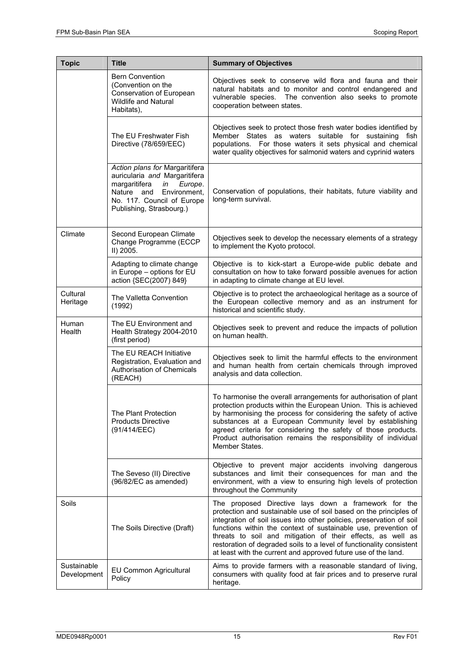| <b>Topic</b>               | <b>Title</b>                                                                                                                                                                           | <b>Summary of Objectives</b>                                                                                                                                                                                                                                                                                                                                                                                                                                                 |
|----------------------------|----------------------------------------------------------------------------------------------------------------------------------------------------------------------------------------|------------------------------------------------------------------------------------------------------------------------------------------------------------------------------------------------------------------------------------------------------------------------------------------------------------------------------------------------------------------------------------------------------------------------------------------------------------------------------|
|                            | <b>Bern Convention</b><br>(Convention on the<br>Conservation of European<br><b>Wildlife and Natural</b><br>Habitats),                                                                  | Objectives seek to conserve wild flora and fauna and their<br>natural habitats and to monitor and control endangered and<br>vulnerable species. The convention also seeks to promote<br>cooperation between states.                                                                                                                                                                                                                                                          |
|                            | The EU Freshwater Fish<br>Directive (78/659/EEC)                                                                                                                                       | Objectives seek to protect those fresh water bodies identified by<br>Member States as waters suitable for sustaining fish<br>populations. For those waters it sets physical and chemical<br>water quality objectives for salmonid waters and cyprinid waters                                                                                                                                                                                                                 |
|                            | Action plans for Margaritifera<br>auricularia and Margaritifera<br>margaritifera<br>Europe.<br>in<br>Nature and Environment,<br>No. 117. Council of Europe<br>Publishing, Strasbourg.) | Conservation of populations, their habitats, future viability and<br>long-term survival.                                                                                                                                                                                                                                                                                                                                                                                     |
| Climate                    | Second European Climate<br>Change Programme (ECCP<br>II) 2005.                                                                                                                         | Objectives seek to develop the necessary elements of a strategy<br>to implement the Kyoto protocol.                                                                                                                                                                                                                                                                                                                                                                          |
|                            | Adapting to climate change<br>in Europe - options for EU<br>action {SEC(2007) 849}                                                                                                     | Objective is to kick-start a Europe-wide public debate and<br>consultation on how to take forward possible avenues for action<br>in adapting to climate change at EU level.                                                                                                                                                                                                                                                                                                  |
| Cultural<br>Heritage       | The Valletta Convention<br>(1992)                                                                                                                                                      | Objective is to protect the archaeological heritage as a source of<br>the European collective memory and as an instrument for<br>historical and scientific study.                                                                                                                                                                                                                                                                                                            |
| Human<br>Health            | The EU Environment and<br>Health Strategy 2004-2010<br>(first period)                                                                                                                  | Objectives seek to prevent and reduce the impacts of pollution<br>on human health.                                                                                                                                                                                                                                                                                                                                                                                           |
|                            | The EU REACH Initiative<br>Registration, Evaluation and<br>Authorisation of Chemicals<br>(REACH)                                                                                       | Objectives seek to limit the harmful effects to the environment<br>and human health from certain chemicals through improved<br>analysis and data collection.                                                                                                                                                                                                                                                                                                                 |
|                            | The Plant Protection<br><b>Products Directive</b><br>(91/414/EEC)                                                                                                                      | To harmonise the overall arrangements for authorisation of plant<br>protection products within the European Union. This is achieved<br>by harmonising the process for considering the safety of active<br>substances at a European Community level by establishing<br>agreed criteria for considering the safety of those products.<br>Product authorisation remains the responsibility of individual<br>Member States.                                                      |
|                            | The Seveso (II) Directive<br>(96/82/EC as amended)                                                                                                                                     | Objective to prevent major accidents involving dangerous<br>substances and limit their consequences for man and the<br>environment, with a view to ensuring high levels of protection<br>throughout the Community                                                                                                                                                                                                                                                            |
| Soils                      | The Soils Directive (Draft)                                                                                                                                                            | The proposed Directive lays down a framework for the<br>protection and sustainable use of soil based on the principles of<br>integration of soil issues into other policies, preservation of soil<br>functions within the context of sustainable use, prevention of<br>threats to soil and mitigation of their effects, as well as<br>restoration of degraded soils to a level of functionality consistent<br>at least with the current and approved future use of the land. |
| Sustainable<br>Development | EU Common Agricultural<br>Policy                                                                                                                                                       | Aims to provide farmers with a reasonable standard of living,<br>consumers with quality food at fair prices and to preserve rural<br>heritage.                                                                                                                                                                                                                                                                                                                               |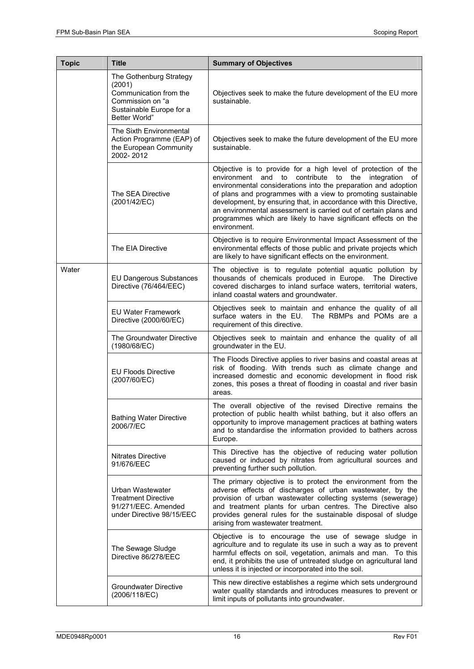| <b>Topic</b> | <b>Title</b>                                                                                                                 | <b>Summary of Objectives</b>                                                                                                                                                                                                                                                                                                                                                                                                                                                     |  |  |
|--------------|------------------------------------------------------------------------------------------------------------------------------|----------------------------------------------------------------------------------------------------------------------------------------------------------------------------------------------------------------------------------------------------------------------------------------------------------------------------------------------------------------------------------------------------------------------------------------------------------------------------------|--|--|
|              | The Gothenburg Strategy<br>(2001)<br>Communication from the<br>Commission on "a<br>Sustainable Europe for a<br>Better World" | Objectives seek to make the future development of the EU more<br>sustainable.                                                                                                                                                                                                                                                                                                                                                                                                    |  |  |
|              | The Sixth Environmental<br>Action Programme (EAP) of<br>the European Community<br>2002-2012                                  | Objectives seek to make the future development of the EU more<br>sustainable.                                                                                                                                                                                                                                                                                                                                                                                                    |  |  |
|              | The SEA Directive<br>(2001/42/EC)                                                                                            | Objective is to provide for a high level of protection of the<br>environment and to contribute to the integration of<br>environmental considerations into the preparation and adoption<br>of plans and programmes with a view to promoting sustainable<br>development, by ensuring that, in accordance with this Directive,<br>an environmental assessment is carried out of certain plans and<br>programmes which are likely to have significant effects on the<br>environment. |  |  |
|              | The EIA Directive                                                                                                            | Objective is to require Environmental Impact Assessment of the<br>environmental effects of those public and private projects which<br>are likely to have significant effects on the environment.                                                                                                                                                                                                                                                                                 |  |  |
| Water        | <b>EU Dangerous Substances</b><br>Directive (76/464/EEC)                                                                     | The objective is to regulate potential aquatic pollution by<br>thousands of chemicals produced in Europe. The Directive<br>covered discharges to inland surface waters, territorial waters,<br>inland coastal waters and groundwater.                                                                                                                                                                                                                                            |  |  |
|              | <b>EU Water Framework</b><br>Directive (2000/60/EC)                                                                          | Objectives seek to maintain and enhance the quality of all<br>surface waters in the EU. The RBMPs and POMs are a<br>requirement of this directive.                                                                                                                                                                                                                                                                                                                               |  |  |
|              | The Groundwater Directive<br>(1980/68/EC)                                                                                    | Objectives seek to maintain and enhance the quality of all<br>groundwater in the EU.                                                                                                                                                                                                                                                                                                                                                                                             |  |  |
|              | <b>EU Floods Directive</b><br>(2007/60/EC)                                                                                   | The Floods Directive applies to river basins and coastal areas at<br>risk of flooding. With trends such as climate change and<br>increased domestic and economic development in flood risk<br>zones, this poses a threat of flooding in coastal and river basin<br>areas.                                                                                                                                                                                                        |  |  |
|              | <b>Bathing Water Directive</b><br>2006/7/EC                                                                                  | The overall objective of the revised Directive remains the<br>protection of public health whilst bathing, but it also offers an<br>opportunity to improve management practices at bathing waters<br>and to standardise the information provided to bathers across<br>Europe.                                                                                                                                                                                                     |  |  |
|              | Nitrates Directive<br>91/676/EEC                                                                                             | This Directive has the objective of reducing water pollution<br>caused or induced by nitrates from agricultural sources and<br>preventing further such pollution.                                                                                                                                                                                                                                                                                                                |  |  |
|              | Urban Wastewater<br><b>Treatment Directive</b><br>91/271/EEC. Amended<br>under Directive 98/15/EEC                           | The primary objective is to protect the environment from the<br>adverse effects of discharges of urban wastewater, by the<br>provision of urban wastewater collecting systems (sewerage)<br>and treatment plants for urban centres. The Directive also<br>provides general rules for the sustainable disposal of sludge<br>arising from wastewater treatment.                                                                                                                    |  |  |
|              | The Sewage Sludge<br>Directive 86/278/EEC                                                                                    | Objective is to encourage the use of sewage sludge in<br>agriculture and to regulate its use in such a way as to prevent<br>harmful effects on soil, vegetation, animals and man. To this<br>end, it prohibits the use of untreated sludge on agricultural land<br>unless it is injected or incorporated into the soil.                                                                                                                                                          |  |  |
|              | <b>Groundwater Directive</b><br>(2006/118/EC)                                                                                | This new directive establishes a regime which sets underground<br>water quality standards and introduces measures to prevent or<br>limit inputs of pollutants into groundwater.                                                                                                                                                                                                                                                                                                  |  |  |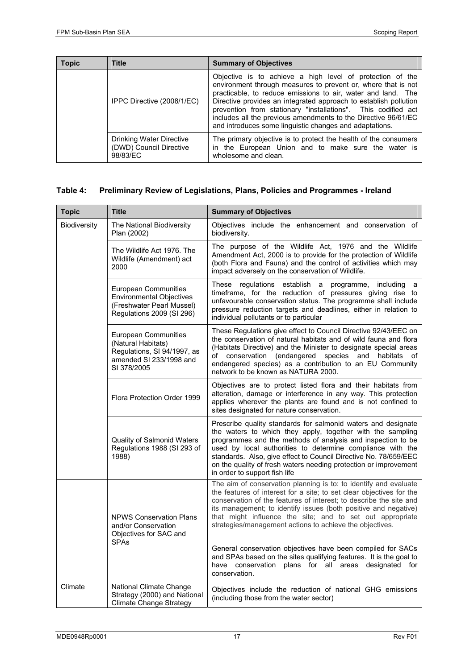| <b>Topic</b> | <b>Title</b>                                                    | <b>Summary of Objectives</b>                                                                                                                                                                                                                                                                                                                                                                                                                                 |  |
|--------------|-----------------------------------------------------------------|--------------------------------------------------------------------------------------------------------------------------------------------------------------------------------------------------------------------------------------------------------------------------------------------------------------------------------------------------------------------------------------------------------------------------------------------------------------|--|
|              | IPPC Directive (2008/1/EC)                                      | Objective is to achieve a high level of protection of the<br>environment through measures to prevent or, where that is not<br>practicable, to reduce emissions to air, water and land. The<br>Directive provides an integrated approach to establish pollution<br>prevention from stationary "installations". This codified act<br>includes all the previous amendments to the Directive 96/61/EC<br>and introduces some linguistic changes and adaptations. |  |
|              | Drinking Water Directive<br>(DWD) Council Directive<br>98/83/EC | The primary objective is to protect the health of the consumers<br>in the European Union and to make sure the water is<br>wholesome and clean.                                                                                                                                                                                                                                                                                                               |  |

#### **Table 4: Preliminary Review of Legislations, Plans, Policies and Programmes - Ireland**

| <b>Topic</b> | <b>Title</b>                                                                                                        | <b>Summary of Objectives</b>                                                                                                                                                                                                                                                                                                                                                                                                      |  |  |
|--------------|---------------------------------------------------------------------------------------------------------------------|-----------------------------------------------------------------------------------------------------------------------------------------------------------------------------------------------------------------------------------------------------------------------------------------------------------------------------------------------------------------------------------------------------------------------------------|--|--|
| Biodiversity | The National Biodiversity<br>Plan (2002)                                                                            | Objectives include the enhancement and conservation of<br>biodiversity.                                                                                                                                                                                                                                                                                                                                                           |  |  |
|              | The Wildlife Act 1976. The<br>Wildlife (Amendment) act<br>2000                                                      | The purpose of the Wildlife Act, 1976 and the Wildlife<br>Amendment Act, 2000 is to provide for the protection of Wildlife<br>(both Flora and Fauna) and the control of activities which may<br>impact adversely on the conservation of Wildlife.                                                                                                                                                                                 |  |  |
|              | European Communities<br><b>Environmental Objectives</b><br>(Freshwater Pearl Mussel)<br>Regulations 2009 (SI 296)   | These regulations establish a programme,<br>including a<br>timeframe, for the reduction of pressures giving rise to<br>unfavourable conservation status. The programme shall include<br>pressure reduction targets and deadlines, either in relation to<br>individual pollutants or to particular                                                                                                                                 |  |  |
|              | European Communities<br>(Natural Habitats)<br>Regulations, SI 94/1997, as<br>amended SI 233/1998 and<br>SI 378/2005 | These Regulations give effect to Council Directive 92/43/EEC on<br>the conservation of natural habitats and of wild fauna and flora<br>(Habitats Directive) and the Minister to designate special areas<br>of conservation (endangered species and habitats<br>of<br>endangered species) as a contribution to an EU Community<br>network to be known as NATURA 2000.                                                              |  |  |
|              | Flora Protection Order 1999                                                                                         | Objectives are to protect listed flora and their habitats from<br>alteration, damage or interference in any way. This protection<br>applies wherever the plants are found and is not confined to<br>sites designated for nature conservation.                                                                                                                                                                                     |  |  |
|              | <b>Quality of Salmonid Waters</b><br>Regulations 1988 (SI 293 of<br>1988)                                           | Prescribe quality standards for salmonid waters and designate<br>the waters to which they apply, together with the sampling<br>programmes and the methods of analysis and inspection to be<br>used by local authorities to determine compliance with the<br>standards. Also, give effect to Council Directive No. 78/659/EEC<br>on the quality of fresh waters needing protection or improvement<br>in order to support fish life |  |  |
|              | <b>NPWS Conservation Plans</b><br>and/or Conservation<br>Objectives for SAC and<br><b>SPAs</b>                      | The aim of conservation planning is to: to identify and evaluate<br>the features of interest for a site; to set clear objectives for the<br>conservation of the features of interest; to describe the site and<br>its management; to identify issues (both positive and negative)<br>that might influence the site; and to set out appropriate<br>strategies/management actions to achieve the objectives.                        |  |  |
|              |                                                                                                                     | General conservation objectives have been compiled for SACs<br>and SPAs based on the sites qualifying features. It is the goal to<br>plans for all areas designated for<br>have conservation<br>conservation.                                                                                                                                                                                                                     |  |  |
| Climate      | National Climate Change<br>Strategy (2000) and National<br><b>Climate Change Strategy</b>                           | Objectives include the reduction of national GHG emissions<br>(including those from the water sector)                                                                                                                                                                                                                                                                                                                             |  |  |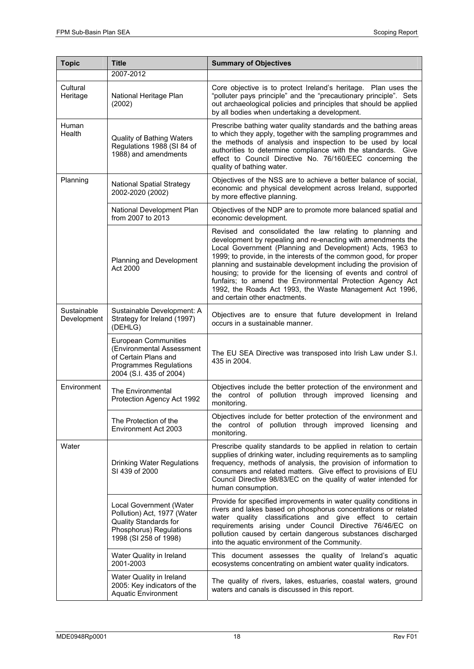| <b>Topic</b>               | <b>Title</b>                                                                                                                        | <b>Summary of Objectives</b>                                                                                                                                                                                                                                                                                                                                                                                                                                                                                                                                |  |  |
|----------------------------|-------------------------------------------------------------------------------------------------------------------------------------|-------------------------------------------------------------------------------------------------------------------------------------------------------------------------------------------------------------------------------------------------------------------------------------------------------------------------------------------------------------------------------------------------------------------------------------------------------------------------------------------------------------------------------------------------------------|--|--|
|                            | 2007-2012                                                                                                                           |                                                                                                                                                                                                                                                                                                                                                                                                                                                                                                                                                             |  |  |
| Cultural<br>Heritage       | National Heritage Plan<br>(2002)                                                                                                    | Core objective is to protect Ireland's heritage. Plan uses the<br>"polluter pays principle" and the "precautionary principle". Sets<br>out archaeological policies and principles that should be applied<br>by all bodies when undertaking a development.                                                                                                                                                                                                                                                                                                   |  |  |
| Human<br>Health            | Quality of Bathing Waters<br>Regulations 1988 (SI 84 of<br>1988) and amendments                                                     | Prescribe bathing water quality standards and the bathing areas<br>to which they apply, together with the sampling programmes and<br>the methods of analysis and inspection to be used by local<br>authorities to determine compliance with the standards. Give<br>effect to Council Directive No. 76/160/EEC concerning the<br>quality of bathing water.                                                                                                                                                                                                   |  |  |
| Planning                   | <b>National Spatial Strategy</b><br>2002-2020 (2002)                                                                                | Objectives of the NSS are to achieve a better balance of social,<br>economic and physical development across Ireland, supported<br>by more effective planning.                                                                                                                                                                                                                                                                                                                                                                                              |  |  |
|                            | National Development Plan<br>from 2007 to 2013                                                                                      | Objectives of the NDP are to promote more balanced spatial and<br>economic development.                                                                                                                                                                                                                                                                                                                                                                                                                                                                     |  |  |
|                            | Planning and Development<br>Act 2000                                                                                                | Revised and consolidated the law relating to planning and<br>development by repealing and re-enacting with amendments the<br>Local Government (Planning and Development) Acts, 1963 to<br>1999; to provide, in the interests of the common good, for proper<br>planning and sustainable development including the provision of<br>housing; to provide for the licensing of events and control of<br>funfairs; to amend the Environmental Protection Agency Act<br>1992, the Roads Act 1993, the Waste Management Act 1996,<br>and certain other enactments. |  |  |
| Sustainable<br>Development | Sustainable Development: A<br>Strategy for Ireland (1997)<br>(DEHLG)                                                                | Objectives are to ensure that future development in Ireland<br>occurs in a sustainable manner.                                                                                                                                                                                                                                                                                                                                                                                                                                                              |  |  |
|                            | European Communities<br>(Environmental Assessment<br>of Certain Plans and<br>Programmes Regulations<br>2004 (S.I. 435 of 2004)      | The EU SEA Directive was transposed into Irish Law under S.I.<br>435 in 2004.                                                                                                                                                                                                                                                                                                                                                                                                                                                                               |  |  |
| Environment                | The Environmental<br>Protection Agency Act 1992                                                                                     | Objectives include the better protection of the environment and<br>the control of pollution through improved licensing<br>and<br>monitoring.                                                                                                                                                                                                                                                                                                                                                                                                                |  |  |
|                            | The Protection of the<br>Environment Act 2003                                                                                       | Objectives include for better protection of the environment and<br>the control of pollution through improved licensing and<br>monitoring.                                                                                                                                                                                                                                                                                                                                                                                                                   |  |  |
| Water                      | Drinking Water Regulations<br>SI 439 of 2000                                                                                        | Prescribe quality standards to be applied in relation to certain<br>supplies of drinking water, including requirements as to sampling<br>frequency, methods of analysis, the provision of information to<br>consumers and related matters. Give effect to provisions of EU<br>Council Directive 98/83/EC on the quality of water intended for<br>human consumption.                                                                                                                                                                                         |  |  |
|                            | Local Government (Water<br>Pollution) Act, 1977 (Water<br>Quality Standards for<br>Phosphorus) Regulations<br>1998 (SI 258 of 1998) | Provide for specified improvements in water quality conditions in<br>rivers and lakes based on phosphorus concentrations or related<br>water quality classifications and give effect to certain<br>requirements arising under Council Directive 76/46/EC on<br>pollution caused by certain dangerous substances discharged<br>into the aquatic environment of the Community.                                                                                                                                                                                |  |  |
|                            | Water Quality in Ireland<br>2001-2003                                                                                               | This document assesses the quality of Ireland's aquatic<br>ecosystems concentrating on ambient water quality indicators.                                                                                                                                                                                                                                                                                                                                                                                                                                    |  |  |
|                            | Water Quality in Ireland<br>2005: Key indicators of the<br><b>Aquatic Environment</b>                                               | The quality of rivers, lakes, estuaries, coastal waters, ground<br>waters and canals is discussed in this report.                                                                                                                                                                                                                                                                                                                                                                                                                                           |  |  |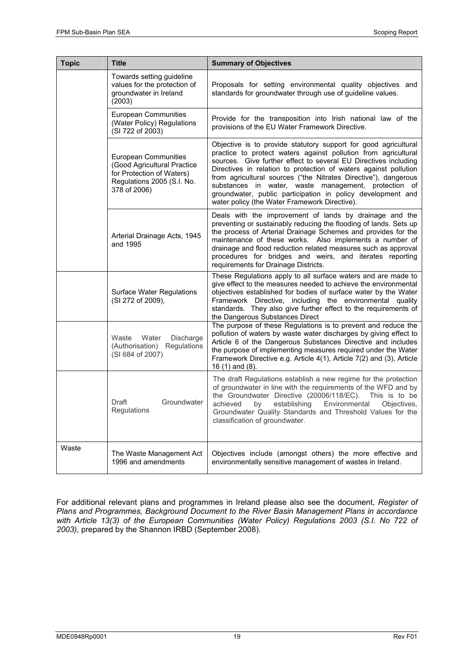| <b>Topic</b> | <b>Title</b>                                                                                                                   | <b>Summary of Objectives</b>                                                                                                                                                                                                                                                                                                                                                                                                                                                                                        |  |
|--------------|--------------------------------------------------------------------------------------------------------------------------------|---------------------------------------------------------------------------------------------------------------------------------------------------------------------------------------------------------------------------------------------------------------------------------------------------------------------------------------------------------------------------------------------------------------------------------------------------------------------------------------------------------------------|--|
|              | Towards setting guideline<br>values for the protection of<br>groundwater in Ireland<br>(2003)                                  | Proposals for setting environmental quality objectives and<br>standards for groundwater through use of guideline values.                                                                                                                                                                                                                                                                                                                                                                                            |  |
|              | European Communities<br>(Water Policy) Regulations<br>(SI 722 of 2003)                                                         | Provide for the transposition into Irish national law of the<br>provisions of the EU Water Framework Directive.                                                                                                                                                                                                                                                                                                                                                                                                     |  |
|              | European Communities<br>(Good Agricultural Practice<br>for Protection of Waters)<br>Regulations 2005 (S.I. No.<br>378 of 2006) | Objective is to provide statutory support for good agricultural<br>practice to protect waters against pollution from agricultural<br>sources. Give further effect to several EU Directives including<br>Directives in relation to protection of waters against pollution<br>from agricultural sources ("the Nitrates Directive"), dangerous<br>substances in water, waste management, protection of<br>groundwater, public participation in policy development and<br>water policy (the Water Framework Directive). |  |
|              | Arterial Drainage Acts, 1945<br>and 1995                                                                                       | Deals with the improvement of lands by drainage and the<br>preventing or sustainably reducing the flooding of lands. Sets up<br>the process of Arterial Drainage Schemes and provides for the<br>maintenance of these works. Also implements a number of<br>drainage and flood reduction related measures such as approval<br>procedures for bridges and weirs, and iterates reporting<br>requirements for Drainage Districts.                                                                                      |  |
|              | <b>Surface Water Regulations</b><br>(SI 272 of 2009),                                                                          | These Regulations apply to all surface waters and are made to<br>give effect to the measures needed to achieve the environmental<br>objectives established for bodies of surface water by the Water<br>Framework Directive, including the environmental quality<br>standards. They also give further effect to the requirements of<br>the Dangerous Substances Direct                                                                                                                                               |  |
|              | Waste<br>Water<br>Discharge<br>(Authorisation)<br>Regulations<br>(SI 684 of 2007)                                              | The purpose of these Regulations is to prevent and reduce the<br>pollution of waters by waste water discharges by giving effect to<br>Article 6 of the Dangerous Substances Directive and includes<br>the purpose of implementing measures required under the Water<br>Framework Directive e.g. Article 4(1), Article 7(2) and (3), Article<br>16 (1) and (8).                                                                                                                                                      |  |
|              | Groundwater<br>Draft<br>Regulations                                                                                            | The draft Regulations establish a new regime for the protection<br>of groundwater in line with the requirements of the WFD and by<br>the Groundwater Directive (20006/118/EC).<br>This is to be<br>achieved<br>establishing<br>Environmental<br>Objectives,<br>by<br>Groundwater Quality Standards and Threshold Values for the<br>classification of groundwater.                                                                                                                                                   |  |
| Waste        | The Waste Management Act<br>1996 and amendments                                                                                | Objectives include (amongst others) the more effective and<br>environmentally sensitive management of wastes in Ireland.                                                                                                                                                                                                                                                                                                                                                                                            |  |

For additional relevant plans and programmes in Ireland please also see the document, *Register of Plans and Programmes, Background Document to the River Basin Management Plans in accordance with Article 13(3) of the European Communities (Water Policy) Regulations 2003 (S.I. No 722 of 2003)*, prepared by the Shannon IRBD (September 2008).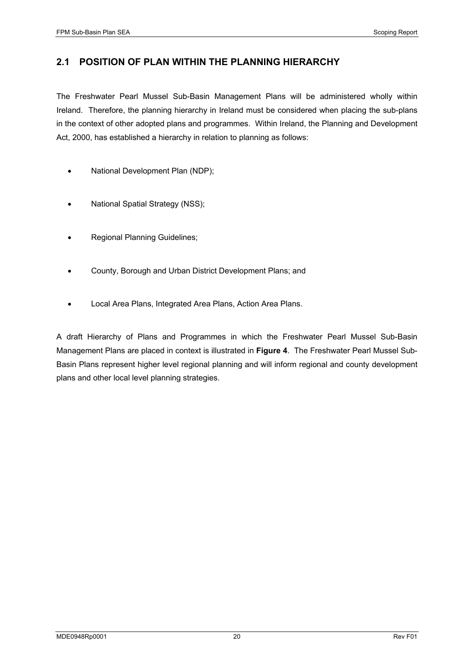#### **2.1 POSITION OF PLAN WITHIN THE PLANNING HIERARCHY**

The Freshwater Pearl Mussel Sub-Basin Management Plans will be administered wholly within Ireland. Therefore, the planning hierarchy in Ireland must be considered when placing the sub-plans in the context of other adopted plans and programmes. Within Ireland, the Planning and Development Act, 2000, has established a hierarchy in relation to planning as follows:

- National Development Plan (NDP);
- National Spatial Strategy (NSS);
- Regional Planning Guidelines;
- County, Borough and Urban District Development Plans; and
- Local Area Plans, Integrated Area Plans, Action Area Plans.

A draft Hierarchy of Plans and Programmes in which the Freshwater Pearl Mussel Sub-Basin Management Plans are placed in context is illustrated in **Figure 4**. The Freshwater Pearl Mussel Sub-Basin Plans represent higher level regional planning and will inform regional and county development plans and other local level planning strategies.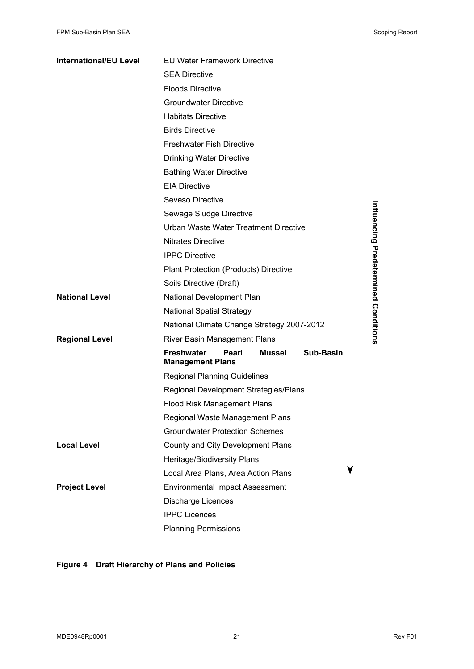| <b>International/EU Level</b> | <b>EU Water Framework Directive</b>                                          |  |  |
|-------------------------------|------------------------------------------------------------------------------|--|--|
|                               | <b>SEA Directive</b>                                                         |  |  |
|                               | <b>Floods Directive</b>                                                      |  |  |
|                               | <b>Groundwater Directive</b>                                                 |  |  |
|                               | <b>Habitats Directive</b>                                                    |  |  |
|                               | <b>Birds Directive</b>                                                       |  |  |
|                               | <b>Freshwater Fish Directive</b>                                             |  |  |
|                               | <b>Drinking Water Directive</b>                                              |  |  |
|                               | <b>Bathing Water Directive</b>                                               |  |  |
|                               | <b>EIA Directive</b>                                                         |  |  |
|                               | Seveso Directive                                                             |  |  |
|                               | Sewage Sludge Directive                                                      |  |  |
|                               | Urban Waste Water Treatment Directive                                        |  |  |
|                               | Nitrates Directive                                                           |  |  |
|                               | <b>IPPC Directive</b>                                                        |  |  |
|                               | <b>Plant Protection (Products) Directive</b>                                 |  |  |
|                               | Soils Directive (Draft)                                                      |  |  |
| <b>National Level</b>         | Influencing Predetermined Conditions<br>National Development Plan            |  |  |
|                               | <b>National Spatial Strategy</b>                                             |  |  |
|                               | National Climate Change Strategy 2007-2012                                   |  |  |
| <b>Regional Level</b>         | River Basin Management Plans                                                 |  |  |
|                               | <b>Freshwater</b><br>Sub-Basin<br>Pearl<br>Mussel<br><b>Management Plans</b> |  |  |
|                               | <b>Regional Planning Guidelines</b>                                          |  |  |
|                               | Regional Development Strategies/Plans                                        |  |  |
|                               | <b>Flood Risk Management Plans</b>                                           |  |  |
|                               | Regional Waste Management Plans                                              |  |  |
|                               | <b>Groundwater Protection Schemes</b>                                        |  |  |
| <b>Local Level</b>            | County and City Development Plans                                            |  |  |
|                               | Heritage/Biodiversity Plans                                                  |  |  |
|                               | Local Area Plans, Area Action Plans                                          |  |  |
| <b>Project Level</b>          | <b>Environmental Impact Assessment</b>                                       |  |  |
|                               | Discharge Licences                                                           |  |  |
|                               | <b>IPPC Licences</b>                                                         |  |  |
|                               | <b>Planning Permissions</b>                                                  |  |  |

#### **Figure 4 Draft Hierarchy of Plans and Policies**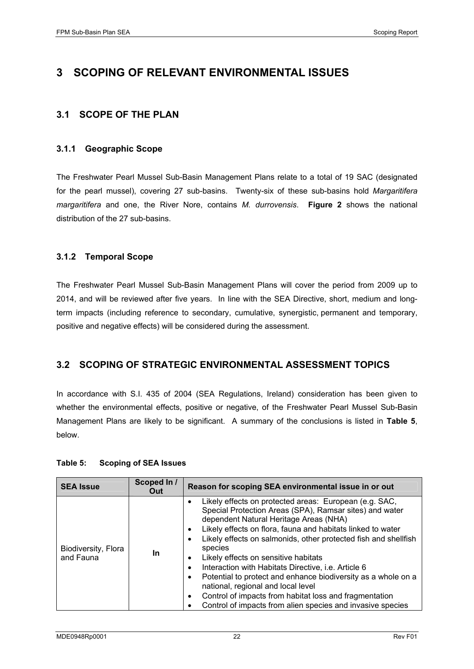## **3 SCOPING OF RELEVANT ENVIRONMENTAL ISSUES**

#### **3.1 SCOPE OF THE PLAN**

#### **3.1.1 Geographic Scope**

The Freshwater Pearl Mussel Sub-Basin Management Plans relate to a total of 19 SAC (designated for the pearl mussel), covering 27 sub-basins. Twenty-six of these sub-basins hold *Margaritifera margaritifera* and one, the River Nore, contains *M. durrovensis*. **Figure 2** shows the national distribution of the 27 sub-basins.

#### **3.1.2 Temporal Scope**

The Freshwater Pearl Mussel Sub-Basin Management Plans will cover the period from 2009 up to 2014, and will be reviewed after five years. In line with the SEA Directive, short, medium and longterm impacts (including reference to secondary, cumulative, synergistic, permanent and temporary, positive and negative effects) will be considered during the assessment.

#### **3.2 SCOPING OF STRATEGIC ENVIRONMENTAL ASSESSMENT TOPICS**

In accordance with S.I. 435 of 2004 (SEA Regulations, Ireland) consideration has been given to whether the environmental effects, positive or negative, of the Freshwater Pearl Mussel Sub-Basin Management Plans are likely to be significant. A summary of the conclusions is listed in **Table 5**, below.

#### **Table 5: Scoping of SEA Issues**

| <b>SEA Issue</b>                 | Scoped In /<br>Out | Reason for scoping SEA environmental issue in or out                                                                                                                                                                                                                                                                                                                                                                                                                                                                                                                                                                                                                         |  |
|----------------------------------|--------------------|------------------------------------------------------------------------------------------------------------------------------------------------------------------------------------------------------------------------------------------------------------------------------------------------------------------------------------------------------------------------------------------------------------------------------------------------------------------------------------------------------------------------------------------------------------------------------------------------------------------------------------------------------------------------------|--|
| Biodiversity, Flora<br>and Fauna | In                 | Likely effects on protected areas: European (e.g. SAC,<br>$\bullet$<br>Special Protection Areas (SPA), Ramsar sites) and water<br>dependent Natural Heritage Areas (NHA)<br>Likely effects on flora, fauna and habitats linked to water<br>٠<br>Likely effects on salmonids, other protected fish and shellfish<br>species<br>Likely effects on sensitive habitats<br>٠<br>Interaction with Habitats Directive, i.e. Article 6<br>٠<br>Potential to protect and enhance biodiversity as a whole on a<br>٠<br>national, regional and local level<br>Control of impacts from habitat loss and fragmentation<br>٠<br>Control of impacts from alien species and invasive species |  |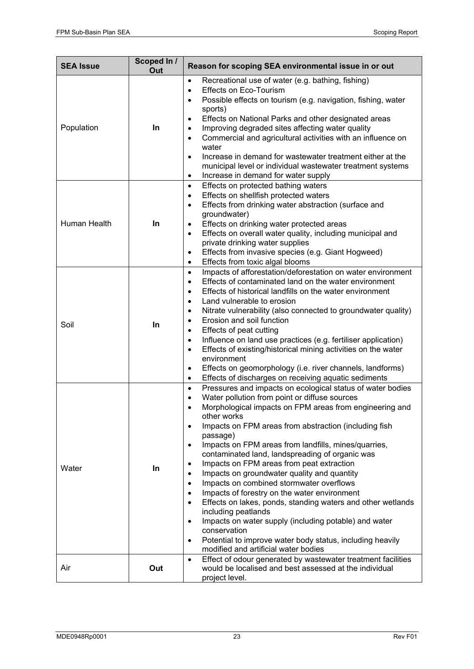| <b>SEA Issue</b> | Scoped In /<br>Out | Reason for scoping SEA environmental issue in or out                                                                                                                                                                                                                                                                                                                                                                                                                                                                                                                                                                                                                                                                                                                                                                                                                                                                                                                                  |  |
|------------------|--------------------|---------------------------------------------------------------------------------------------------------------------------------------------------------------------------------------------------------------------------------------------------------------------------------------------------------------------------------------------------------------------------------------------------------------------------------------------------------------------------------------------------------------------------------------------------------------------------------------------------------------------------------------------------------------------------------------------------------------------------------------------------------------------------------------------------------------------------------------------------------------------------------------------------------------------------------------------------------------------------------------|--|
| Population       | In                 | Recreational use of water (e.g. bathing, fishing)<br>$\bullet$<br><b>Effects on Eco-Tourism</b><br>$\bullet$<br>Possible effects on tourism (e.g. navigation, fishing, water<br>$\bullet$<br>sports)<br>Effects on National Parks and other designated areas<br>$\bullet$<br>Improving degraded sites affecting water quality<br>$\bullet$<br>Commercial and agricultural activities with an influence on<br>$\bullet$<br>water<br>Increase in demand for wastewater treatment either at the<br>$\bullet$<br>municipal level or individual wastewater treatment systems<br>Increase in demand for water supply<br>$\bullet$                                                                                                                                                                                                                                                                                                                                                           |  |
| Human Health     | In                 | Effects on protected bathing waters<br>$\bullet$<br>Effects on shellfish protected waters<br>$\bullet$<br>Effects from drinking water abstraction (surface and<br>$\bullet$<br>groundwater)<br>Effects on drinking water protected areas<br>$\bullet$<br>Effects on overall water quality, including municipal and<br>$\bullet$<br>private drinking water supplies<br>Effects from invasive species (e.g. Giant Hogweed)<br>$\bullet$<br>Effects from toxic algal blooms<br>$\bullet$                                                                                                                                                                                                                                                                                                                                                                                                                                                                                                 |  |
| Soil             | In                 | Impacts of afforestation/deforestation on water environment<br>$\bullet$<br>Effects of contaminated land on the water environment<br>$\bullet$<br>Effects of historical landfills on the water environment<br>$\bullet$<br>Land vulnerable to erosion<br>$\bullet$<br>Nitrate vulnerability (also connected to groundwater quality)<br>$\bullet$<br>Erosion and soil function<br>$\bullet$<br>Effects of peat cutting<br>$\bullet$<br>Influence on land use practices (e.g. fertiliser application)<br>$\bullet$<br>Effects of existing/historical mining activities on the water<br>$\bullet$<br>environment<br>Effects on geomorphology (i.e. river channels, landforms)<br>$\bullet$<br>Effects of discharges on receiving aquatic sediments<br>$\bullet$                                                                                                                                                                                                                          |  |
| Water            | In                 | Pressures and impacts on ecological status of water bodies<br>$\bullet$<br>Water pollution from point or diffuse sources<br>$\bullet$<br>Morphological impacts on FPM areas from engineering and<br>$\bullet$<br>other works<br>Impacts on FPM areas from abstraction (including fish<br>$\bullet$<br>passage)<br>Impacts on FPM areas from landfills, mines/quarries,<br>$\bullet$<br>contaminated land, landspreading of organic was<br>Impacts on FPM areas from peat extraction<br>٠<br>Impacts on groundwater quality and quantity<br>$\bullet$<br>Impacts on combined stormwater overflows<br>$\bullet$<br>Impacts of forestry on the water environment<br>$\bullet$<br>Effects on lakes, ponds, standing waters and other wetlands<br>$\bullet$<br>including peatlands<br>Impacts on water supply (including potable) and water<br>$\bullet$<br>conservation<br>Potential to improve water body status, including heavily<br>$\bullet$<br>modified and artificial water bodies |  |
| Air              | Out                | Effect of odour generated by wastewater treatment facilities<br>$\bullet$<br>would be localised and best assessed at the individual<br>project level.                                                                                                                                                                                                                                                                                                                                                                                                                                                                                                                                                                                                                                                                                                                                                                                                                                 |  |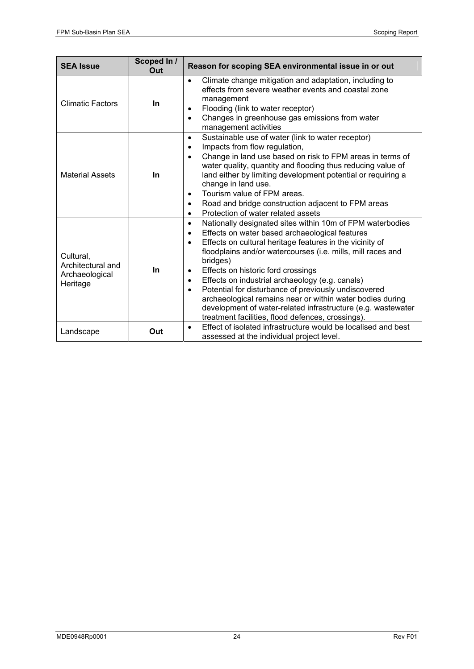| <b>SEA Issue</b>                                             | Scoped In /<br>Reason for scoping SEA environmental issue in or out<br>Out |                                                                                                                                                                                                                                                                                                                                                                                                                                                                                                                                                                                                                                                             |  |
|--------------------------------------------------------------|----------------------------------------------------------------------------|-------------------------------------------------------------------------------------------------------------------------------------------------------------------------------------------------------------------------------------------------------------------------------------------------------------------------------------------------------------------------------------------------------------------------------------------------------------------------------------------------------------------------------------------------------------------------------------------------------------------------------------------------------------|--|
| <b>Climatic Factors</b>                                      | <b>In</b>                                                                  | Climate change mitigation and adaptation, including to<br>$\bullet$<br>effects from severe weather events and coastal zone<br>management<br>Flooding (link to water receptor)<br>Changes in greenhouse gas emissions from water<br>$\bullet$<br>management activities                                                                                                                                                                                                                                                                                                                                                                                       |  |
| <b>Material Assets</b>                                       | <b>In</b>                                                                  | Sustainable use of water (link to water receptor)<br>$\bullet$<br>Impacts from flow regulation,<br>$\bullet$<br>Change in land use based on risk to FPM areas in terms of<br>$\bullet$<br>water quality, quantity and flooding thus reducing value of<br>land either by limiting development potential or requiring a<br>change in land use.<br>Tourism value of FPM areas.<br>$\bullet$<br>Road and bridge construction adjacent to FPM areas<br>$\bullet$<br>Protection of water related assets<br>$\bullet$                                                                                                                                              |  |
| Cultural,<br>Architectural and<br>Archaeological<br>Heritage | In                                                                         | Nationally designated sites within 10m of FPM waterbodies<br>$\bullet$<br>Effects on water based archaeological features<br>$\bullet$<br>Effects on cultural heritage features in the vicinity of<br>$\bullet$<br>floodplains and/or watercourses (i.e. mills, mill races and<br>bridges)<br>Effects on historic ford crossings<br>٠<br>Effects on industrial archaeology (e.g. canals)<br>$\bullet$<br>Potential for disturbance of previously undiscovered<br>$\bullet$<br>archaeological remains near or within water bodies during<br>development of water-related infrastructure (e.g. wastewater<br>treatment facilities, flood defences, crossings). |  |
| Landscape                                                    | Out                                                                        | Effect of isolated infrastructure would be localised and best<br>$\bullet$<br>assessed at the individual project level.                                                                                                                                                                                                                                                                                                                                                                                                                                                                                                                                     |  |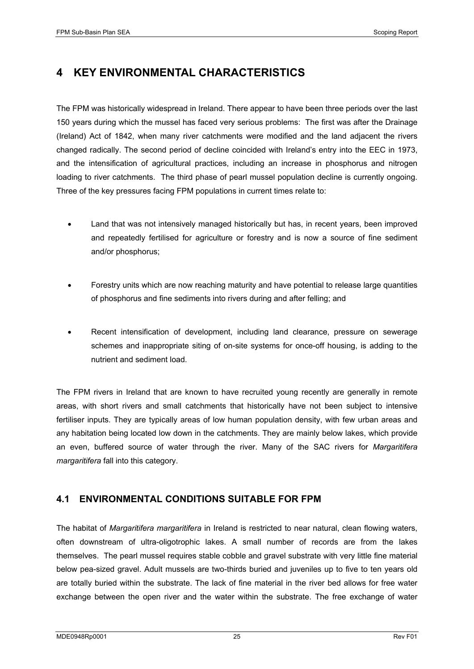## **4 KEY ENVIRONMENTAL CHARACTERISTICS**

The FPM was historically widespread in Ireland. There appear to have been three periods over the last 150 years during which the mussel has faced very serious problems: The first was after the Drainage (Ireland) Act of 1842, when many river catchments were modified and the land adjacent the rivers changed radically. The second period of decline coincided with Ireland's entry into the EEC in 1973, and the intensification of agricultural practices, including an increase in phosphorus and nitrogen loading to river catchments. The third phase of pearl mussel population decline is currently ongoing. Three of the key pressures facing FPM populations in current times relate to:

- Land that was not intensively managed historically but has, in recent years, been improved and repeatedly fertilised for agriculture or forestry and is now a source of fine sediment and/or phosphorus;
- Forestry units which are now reaching maturity and have potential to release large quantities of phosphorus and fine sediments into rivers during and after felling; and
- Recent intensification of development, including land clearance, pressure on sewerage schemes and inappropriate siting of on-site systems for once-off housing, is adding to the nutrient and sediment load.

The FPM rivers in Ireland that are known to have recruited young recently are generally in remote areas, with short rivers and small catchments that historically have not been subject to intensive fertiliser inputs. They are typically areas of low human population density, with few urban areas and any habitation being located low down in the catchments. They are mainly below lakes, which provide an even, buffered source of water through the river. Many of the SAC rivers for *Margaritifera margaritifera* fall into this category.

#### **4.1 ENVIRONMENTAL CONDITIONS SUITABLE FOR FPM**

The habitat of *Margaritifera margaritifera* in Ireland is restricted to near natural, clean flowing waters, often downstream of ultra-oligotrophic lakes. A small number of records are from the lakes themselves. The pearl mussel requires stable cobble and gravel substrate with very little fine material below pea-sized gravel. Adult mussels are two-thirds buried and juveniles up to five to ten years old are totally buried within the substrate. The lack of fine material in the river bed allows for free water exchange between the open river and the water within the substrate. The free exchange of water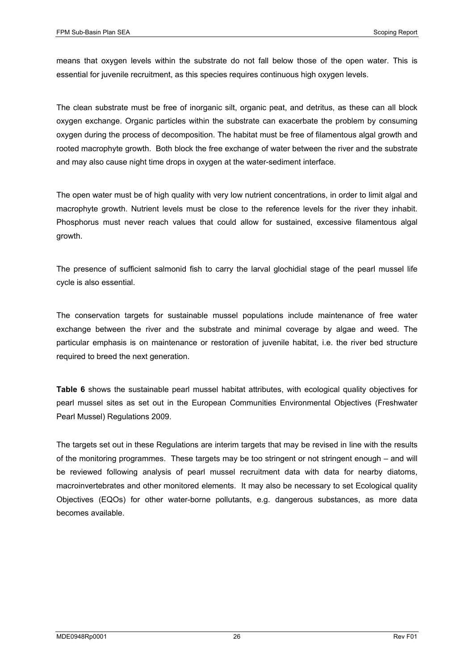means that oxygen levels within the substrate do not fall below those of the open water. This is essential for juvenile recruitment, as this species requires continuous high oxygen levels.

The clean substrate must be free of inorganic silt, organic peat, and detritus, as these can all block oxygen exchange. Organic particles within the substrate can exacerbate the problem by consuming oxygen during the process of decomposition. The habitat must be free of filamentous algal growth and rooted macrophyte growth. Both block the free exchange of water between the river and the substrate and may also cause night time drops in oxygen at the water-sediment interface.

The open water must be of high quality with very low nutrient concentrations, in order to limit algal and macrophyte growth. Nutrient levels must be close to the reference levels for the river they inhabit. Phosphorus must never reach values that could allow for sustained, excessive filamentous algal growth.

The presence of sufficient salmonid fish to carry the larval glochidial stage of the pearl mussel life cycle is also essential.

The conservation targets for sustainable mussel populations include maintenance of free water exchange between the river and the substrate and minimal coverage by algae and weed. The particular emphasis is on maintenance or restoration of juvenile habitat, i.e. the river bed structure required to breed the next generation.

**Table 6** shows the sustainable pearl mussel habitat attributes, with ecological quality objectives for pearl mussel sites as set out in the European Communities Environmental Objectives (Freshwater Pearl Mussel) Regulations 2009.

The targets set out in these Regulations are interim targets that may be revised in line with the results of the monitoring programmes. These targets may be too stringent or not stringent enough – and will be reviewed following analysis of pearl mussel recruitment data with data for nearby diatoms, macroinvertebrates and other monitored elements. It may also be necessary to set Ecological quality Objectives (EQOs) for other water-borne pollutants, e.g. dangerous substances, as more data becomes available.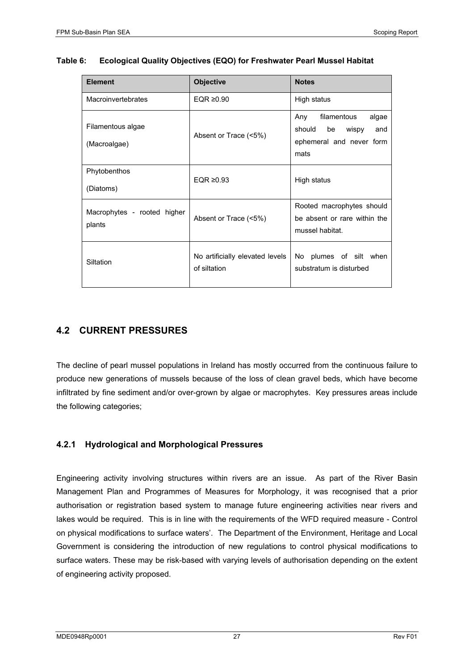| <b>Element</b>                        | <b>Objective</b>                                | <b>Notes</b>                                                                              |  |
|---------------------------------------|-------------------------------------------------|-------------------------------------------------------------------------------------------|--|
| Macroinvertebrates                    | EQR $\geq 0.90$                                 | High status                                                                               |  |
| Filamentous algae<br>(Macroalgae)     | Absent or Trace (<5%)                           | filamentous<br>algae<br>Any<br>should be wispy<br>and<br>ephemeral and never form<br>mats |  |
| Phytobenthos<br>(Diatoms)             | EQR $\geq 0.93$                                 | High status                                                                               |  |
| Macrophytes - rooted higher<br>plants | Absent or Trace (<5%)                           | Rooted macrophytes should<br>be absent or rare within the<br>mussel habitat.              |  |
| Siltation                             | No artificially elevated levels<br>of siltation | No plumes of silt when<br>substratum is disturbed                                         |  |

#### **Table 6: Ecological Quality Objectives (EQO) for Freshwater Pearl Mussel Habitat**

#### **4.2 CURRENT PRESSURES**

The decline of pearl mussel populations in Ireland has mostly occurred from the continuous failure to produce new generations of mussels because of the loss of clean gravel beds, which have become infiltrated by fine sediment and/or over-grown by algae or macrophytes. Key pressures areas include the following categories;

#### **4.2.1 Hydrological and Morphological Pressures**

Engineering activity involving structures within rivers are an issue. As part of the River Basin Management Plan and Programmes of Measures for Morphology, it was recognised that a prior authorisation or registration based system to manage future engineering activities near rivers and lakes would be required. This is in line with the requirements of the WFD required measure - Control on physical modifications to surface waters'. The Department of the Environment, Heritage and Local Government is considering the introduction of new regulations to control physical modifications to surface waters. These may be risk-based with varying levels of authorisation depending on the extent of engineering activity proposed.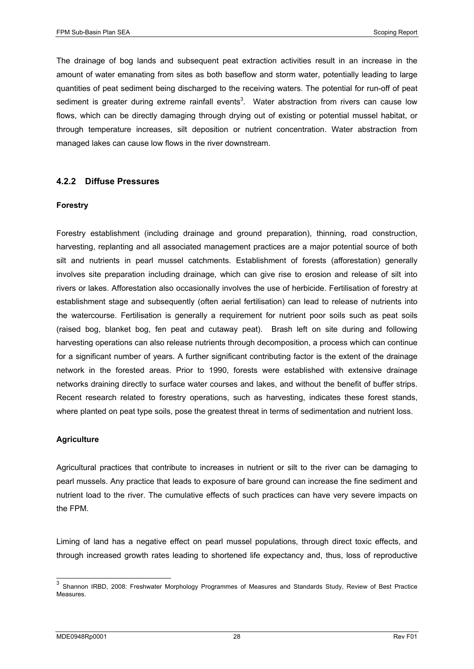The drainage of bog lands and subsequent peat extraction activities result in an increase in the amount of water emanating from sites as both baseflow and storm water, potentially leading to large quantities of peat sediment being discharged to the receiving waters. The potential for run-off of peat sediment is greater during extreme rainfall events<sup>3</sup>. Water abstraction from rivers can cause low flows, which can be directly damaging through drying out of existing or potential mussel habitat, or through temperature increases, silt deposition or nutrient concentration. Water abstraction from managed lakes can cause low flows in the river downstream.

#### **4.2.2 Diffuse Pressures**

#### **Forestry**

Forestry establishment (including drainage and ground preparation), thinning, road construction, harvesting, replanting and all associated management practices are a major potential source of both silt and nutrients in pearl mussel catchments. Establishment of forests (afforestation) generally involves site preparation including drainage, which can give rise to erosion and release of silt into rivers or lakes. Afforestation also occasionally involves the use of herbicide. Fertilisation of forestry at establishment stage and subsequently (often aerial fertilisation) can lead to release of nutrients into the watercourse. Fertilisation is generally a requirement for nutrient poor soils such as peat soils (raised bog, blanket bog, fen peat and cutaway peat). Brash left on site during and following harvesting operations can also release nutrients through decomposition, a process which can continue for a significant number of years. A further significant contributing factor is the extent of the drainage network in the forested areas. Prior to 1990, forests were established with extensive drainage networks draining directly to surface water courses and lakes, and without the benefit of buffer strips. Recent research related to forestry operations, such as harvesting, indicates these forest stands, where planted on peat type soils, pose the greatest threat in terms of sedimentation and nutrient loss.

#### **Agriculture**

Agricultural practices that contribute to increases in nutrient or silt to the river can be damaging to pearl mussels. Any practice that leads to exposure of bare ground can increase the fine sediment and nutrient load to the river. The cumulative effects of such practices can have very severe impacts on the FPM.

Liming of land has a negative effect on pearl mussel populations, through direct toxic effects, and through increased growth rates leading to shortened life expectancy and, thus, loss of reproductive

 $\overline{a}$ 

 $3$  Shannon IRBD, 2008: Freshwater Morphology Programmes of Measures and Standards Study, Review of Best Practice **Measures**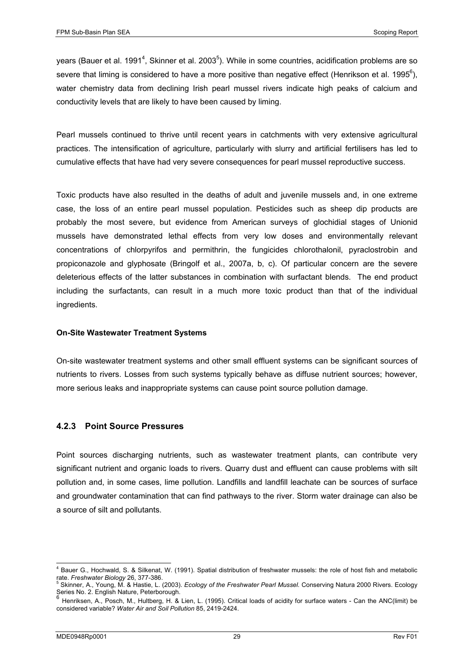years (Bauer et al. 1991<sup>4</sup>, Skinner et al. 2003<sup>5</sup>). While in some countries, acidification problems are so severe that liming is considered to have a more positive than negative effect (Henrikson et al. 1995<sup>6</sup>), water chemistry data from declining Irish pearl mussel rivers indicate high peaks of calcium and conductivity levels that are likely to have been caused by liming.

Pearl mussels continued to thrive until recent years in catchments with very extensive agricultural practices. The intensification of agriculture, particularly with slurry and artificial fertilisers has led to cumulative effects that have had very severe consequences for pearl mussel reproductive success.

Toxic products have also resulted in the deaths of adult and juvenile mussels and, in one extreme case, the loss of an entire pearl mussel population. Pesticides such as sheep dip products are probably the most severe, but evidence from American surveys of glochidial stages of Unionid mussels have demonstrated lethal effects from very low doses and environmentally relevant concentrations of chlorpyrifos and permithrin, the fungicides chlorothalonil, pyraclostrobin and propiconazole and glyphosate (Bringolf et al., 2007a, b, c). Of particular concern are the severe deleterious effects of the latter substances in combination with surfactant blends. The end product including the surfactants, can result in a much more toxic product than that of the individual ingredients.

#### **On-Site Wastewater Treatment Systems**

On-site wastewater treatment systems and other small effluent systems can be significant sources of nutrients to rivers. Losses from such systems typically behave as diffuse nutrient sources; however, more serious leaks and inappropriate systems can cause point source pollution damage.

#### **4.2.3 Point Source Pressures**

Point sources discharging nutrients, such as wastewater treatment plants, can contribute very significant nutrient and organic loads to rivers. Quarry dust and effluent can cause problems with silt pollution and, in some cases, lime pollution. Landfills and landfill leachate can be sources of surface and groundwater contamination that can find pathways to the river. Storm water drainage can also be a source of silt and pollutants.

 4 Bauer G., Hochwald, S. & Silkenat, W. (1991). Spatial distribution of freshwater mussels: the role of host fish and metabolic rate. *Freshwater Biology* 26, 377-386.

Skinner, A., Young, M. & Hastie, L. (2003). *Ecology of the Freshwater Pearl Mussel.* Conserving Natura 2000 Rivers. Ecology Series No. 2. English Nature, Peterborough.

<sup>6</sup> Henriksen, A., Posch, M., Hultberg, H. & Lien, L. (1995). Critical loads of acidity for surface waters - Can the ANC(limit) be considered variable? *Water Air and Soil Pollution* 85, 2419-2424.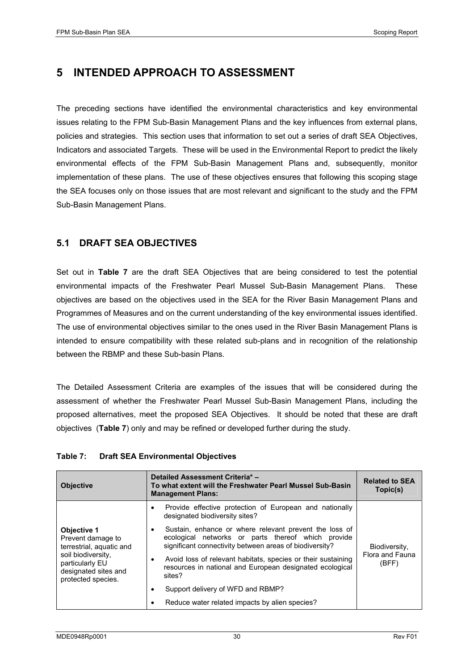## **5 INTENDED APPROACH TO ASSESSMENT**

The preceding sections have identified the environmental characteristics and key environmental issues relating to the FPM Sub-Basin Management Plans and the key influences from external plans, policies and strategies. This section uses that information to set out a series of draft SEA Objectives, Indicators and associated Targets. These will be used in the Environmental Report to predict the likely environmental effects of the FPM Sub-Basin Management Plans and, subsequently, monitor implementation of these plans. The use of these objectives ensures that following this scoping stage the SEA focuses only on those issues that are most relevant and significant to the study and the FPM Sub-Basin Management Plans.

#### **5.1 DRAFT SEA OBJECTIVES**

Set out in **Table 7** are the draft SEA Objectives that are being considered to test the potential environmental impacts of the Freshwater Pearl Mussel Sub-Basin Management Plans. These objectives are based on the objectives used in the SEA for the River Basin Management Plans and Programmes of Measures and on the current understanding of the key environmental issues identified. The use of environmental objectives similar to the ones used in the River Basin Management Plans is intended to ensure compatibility with these related sub-plans and in recognition of the relationship between the RBMP and these Sub-basin Plans.

The Detailed Assessment Criteria are examples of the issues that will be considered during the assessment of whether the Freshwater Pearl Mussel Sub-Basin Management Plans, including the proposed alternatives, meet the proposed SEA Objectives. It should be noted that these are draft objectives (**Table 7**) only and may be refined or developed further during the study.

| Table 7: | <b>Draft SEA Environmental Objectives</b> |  |
|----------|-------------------------------------------|--|
|          |                                           |  |

| <b>Objective</b>                                                                    | Detailed Assessment Criteria* -<br>To what extent will the Freshwater Pearl Mussel Sub-Basin<br><b>Management Plans:</b>                                                     | <b>Related to SEA</b><br>Topic(s) |
|-------------------------------------------------------------------------------------|------------------------------------------------------------------------------------------------------------------------------------------------------------------------------|-----------------------------------|
|                                                                                     | Provide effective protection of European and nationally<br>٠<br>designated biodiversity sites?                                                                               |                                   |
| <b>Objective 1</b><br>Prevent damage to<br>terrestrial, aquatic and                 | Sustain, enhance or where relevant prevent the loss of<br>٠<br>ecological networks or parts thereof which provide<br>significant connectivity between areas of biodiversity? | Biodiversity,                     |
| soil biodiversity.<br>particularly EU<br>designated sites and<br>protected species. | Avoid loss of relevant habitats, species or their sustaining<br>٠<br>resources in national and European designated ecological<br>sites?                                      | Flora and Fauna<br>(BFF)          |
|                                                                                     | Support delivery of WFD and RBMP?<br>٠                                                                                                                                       |                                   |
|                                                                                     | Reduce water related impacts by alien species?<br>٠                                                                                                                          |                                   |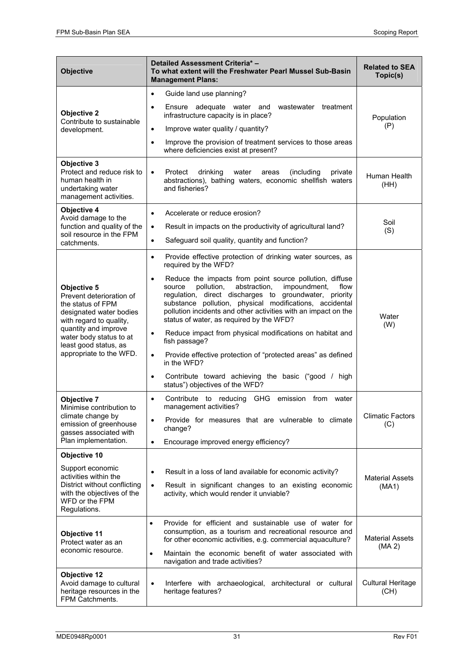| <b>Objective</b>                                                                                                                                                                                                          | Detailed Assessment Criteria* -<br>To what extent will the Freshwater Pearl Mussel Sub-Basin<br><b>Management Plans:</b>                                                                                                                                                                                                                                                | <b>Related to SEA</b><br>Topic(s) |  |
|---------------------------------------------------------------------------------------------------------------------------------------------------------------------------------------------------------------------------|-------------------------------------------------------------------------------------------------------------------------------------------------------------------------------------------------------------------------------------------------------------------------------------------------------------------------------------------------------------------------|-----------------------------------|--|
|                                                                                                                                                                                                                           | Guide land use planning?<br>$\bullet$                                                                                                                                                                                                                                                                                                                                   |                                   |  |
| Objective 2                                                                                                                                                                                                               | Ensure adequate water and wastewater<br>treatment<br>$\bullet$<br>infrastructure capacity is in place?                                                                                                                                                                                                                                                                  | Population<br>(P)                 |  |
| Contribute to sustainable<br>development.                                                                                                                                                                                 | Improve water quality / quantity?<br>$\bullet$                                                                                                                                                                                                                                                                                                                          |                                   |  |
|                                                                                                                                                                                                                           | Improve the provision of treatment services to those areas<br>$\bullet$<br>where deficiencies exist at present?                                                                                                                                                                                                                                                         |                                   |  |
| Objective 3<br>Protect and reduce risk to<br>human health in<br>undertaking water<br>management activities.                                                                                                               | Protect<br>drinking<br>water<br>areas<br>(including<br>private<br>$\bullet$<br>abstractions), bathing waters, economic shellfish waters<br>and fisheries?                                                                                                                                                                                                               | Human Health<br>(HH)              |  |
| Objective 4                                                                                                                                                                                                               | Accelerate or reduce erosion?<br>$\bullet$                                                                                                                                                                                                                                                                                                                              |                                   |  |
| Avoid damage to the<br>function and quality of the                                                                                                                                                                        | Result in impacts on the productivity of agricultural land?<br>$\bullet$                                                                                                                                                                                                                                                                                                | Soil                              |  |
| soil resource in the FPM<br>catchments.                                                                                                                                                                                   | Safeguard soil quality, quantity and function?<br>$\bullet$                                                                                                                                                                                                                                                                                                             | (S)                               |  |
| Objective 5<br>Prevent deterioration of<br>the status of FPM<br>designated water bodies<br>with regard to quality,<br>quantity and improve<br>water body status to at<br>least good status, as<br>appropriate to the WFD. | Provide effective protection of drinking water sources, as<br>$\bullet$<br>required by the WFD?                                                                                                                                                                                                                                                                         |                                   |  |
|                                                                                                                                                                                                                           | Reduce the impacts from point source pollution, diffuse<br>$\bullet$<br>pollution,<br>abstraction,<br>impoundment,<br>flow<br>source<br>regulation, direct discharges to groundwater, priority<br>substance pollution, physical modifications, accidental<br>pollution incidents and other activities with an impact on the<br>status of water, as required by the WFD? | Water<br>(W)                      |  |
|                                                                                                                                                                                                                           | Reduce impact from physical modifications on habitat and<br>$\bullet$<br>fish passage?                                                                                                                                                                                                                                                                                  |                                   |  |
|                                                                                                                                                                                                                           | Provide effective protection of "protected areas" as defined<br>$\bullet$<br>in the WFD?                                                                                                                                                                                                                                                                                |                                   |  |
|                                                                                                                                                                                                                           | Contribute toward achieving the basic ("good / high<br>$\bullet$<br>status") objectives of the WFD?                                                                                                                                                                                                                                                                     |                                   |  |
| Objective 7<br>Minimise contribution to                                                                                                                                                                                   | Contribute to reducing<br>GHG<br>emission<br>from<br>water<br>$\bullet$<br>management activities?                                                                                                                                                                                                                                                                       |                                   |  |
| climate change by<br>emission of greenhouse<br>gasses associated with<br>Plan implementation.                                                                                                                             | Provide for measures that are vulnerable to climate<br>$\bullet$<br>change?                                                                                                                                                                                                                                                                                             | <b>Climatic Factors</b><br>(C)    |  |
|                                                                                                                                                                                                                           | Encourage improved energy efficiency?<br>$\bullet$                                                                                                                                                                                                                                                                                                                      |                                   |  |
| Objective 10                                                                                                                                                                                                              |                                                                                                                                                                                                                                                                                                                                                                         |                                   |  |
| Support economic<br>activities within the                                                                                                                                                                                 | Result in a loss of land available for economic activity?<br>$\bullet$                                                                                                                                                                                                                                                                                                  |                                   |  |
| District without conflicting<br>with the objectives of the<br>WFD or the FPM<br>Regulations.                                                                                                                              | Result in significant changes to an existing economic<br>$\bullet$<br>activity, which would render it unviable?                                                                                                                                                                                                                                                         | <b>Material Assets</b><br>(MA1)   |  |
| Objective 11<br>Protect water as an<br>economic resource.                                                                                                                                                                 | Provide for efficient and sustainable use of water for<br>$\bullet$<br>consumption, as a tourism and recreational resource and<br>for other economic activities, e.g. commercial aquaculture?                                                                                                                                                                           | <b>Material Assets</b><br>(MA 2)  |  |
|                                                                                                                                                                                                                           | Maintain the economic benefit of water associated with<br>$\bullet$<br>navigation and trade activities?                                                                                                                                                                                                                                                                 |                                   |  |
| <b>Objective 12</b><br>Avoid damage to cultural<br>heritage resources in the<br>FPM Catchments.                                                                                                                           | Interfere with archaeological, architectural or cultural<br>$\bullet$<br>heritage features?                                                                                                                                                                                                                                                                             | <b>Cultural Heritage</b><br>(CH)  |  |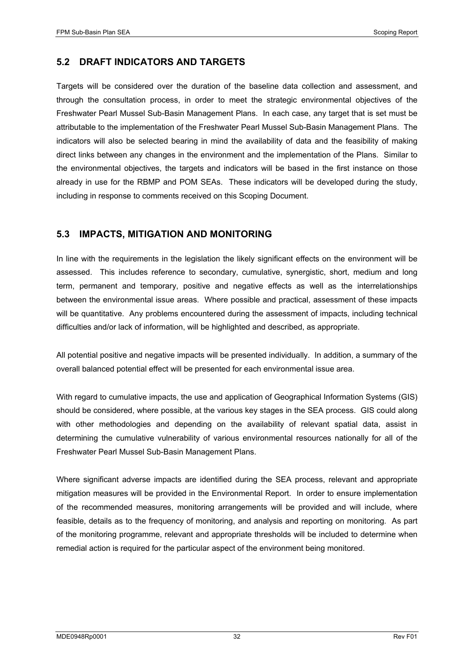#### **5.2 DRAFT INDICATORS AND TARGETS**

Targets will be considered over the duration of the baseline data collection and assessment, and through the consultation process, in order to meet the strategic environmental objectives of the Freshwater Pearl Mussel Sub-Basin Management Plans. In each case, any target that is set must be attributable to the implementation of the Freshwater Pearl Mussel Sub-Basin Management Plans. The indicators will also be selected bearing in mind the availability of data and the feasibility of making direct links between any changes in the environment and the implementation of the Plans. Similar to the environmental objectives, the targets and indicators will be based in the first instance on those already in use for the RBMP and POM SEAs. These indicators will be developed during the study, including in response to comments received on this Scoping Document.

#### **5.3 IMPACTS, MITIGATION AND MONITORING**

In line with the requirements in the legislation the likely significant effects on the environment will be assessed. This includes reference to secondary, cumulative, synergistic, short, medium and long term, permanent and temporary, positive and negative effects as well as the interrelationships between the environmental issue areas. Where possible and practical, assessment of these impacts will be quantitative. Any problems encountered during the assessment of impacts, including technical difficulties and/or lack of information, will be highlighted and described, as appropriate.

All potential positive and negative impacts will be presented individually. In addition, a summary of the overall balanced potential effect will be presented for each environmental issue area.

With regard to cumulative impacts, the use and application of Geographical Information Systems (GIS) should be considered, where possible, at the various key stages in the SEA process. GIS could along with other methodologies and depending on the availability of relevant spatial data, assist in determining the cumulative vulnerability of various environmental resources nationally for all of the Freshwater Pearl Mussel Sub-Basin Management Plans.

Where significant adverse impacts are identified during the SEA process, relevant and appropriate mitigation measures will be provided in the Environmental Report. In order to ensure implementation of the recommended measures, monitoring arrangements will be provided and will include, where feasible, details as to the frequency of monitoring, and analysis and reporting on monitoring. As part of the monitoring programme, relevant and appropriate thresholds will be included to determine when remedial action is required for the particular aspect of the environment being monitored.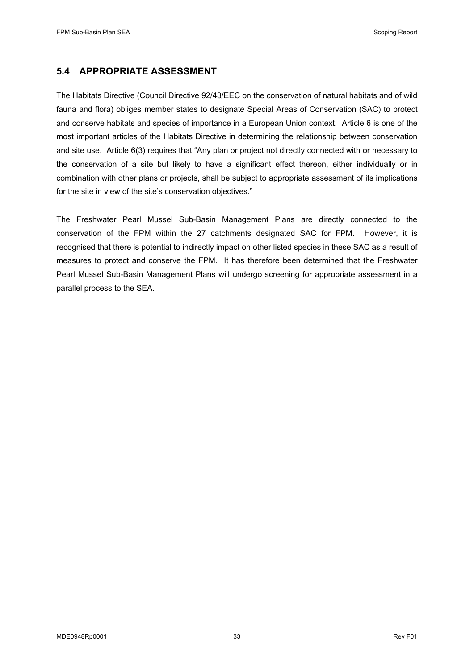#### **5.4 APPROPRIATE ASSESSMENT**

The Habitats Directive (Council Directive 92/43/EEC on the conservation of natural habitats and of wild fauna and flora) obliges member states to designate Special Areas of Conservation (SAC) to protect and conserve habitats and species of importance in a European Union context. Article 6 is one of the most important articles of the Habitats Directive in determining the relationship between conservation and site use. Article 6(3) requires that "Any plan or project not directly connected with or necessary to the conservation of a site but likely to have a significant effect thereon, either individually or in combination with other plans or projects, shall be subject to appropriate assessment of its implications for the site in view of the site's conservation objectives."

The Freshwater Pearl Mussel Sub-Basin Management Plans are directly connected to the conservation of the FPM within the 27 catchments designated SAC for FPM. However, it is recognised that there is potential to indirectly impact on other listed species in these SAC as a result of measures to protect and conserve the FPM. It has therefore been determined that the Freshwater Pearl Mussel Sub-Basin Management Plans will undergo screening for appropriate assessment in a parallel process to the SEA.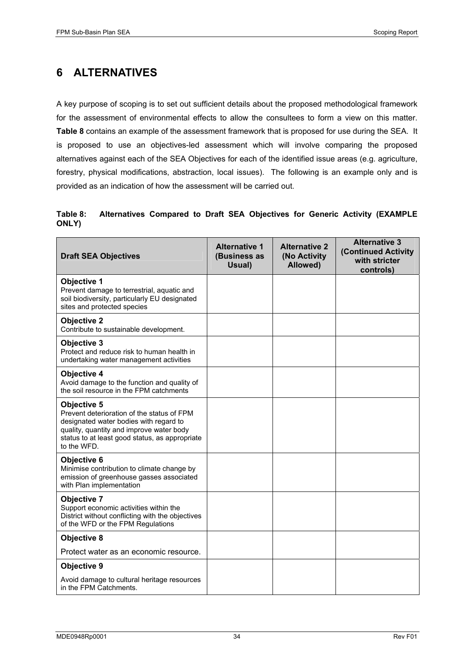## **6 ALTERNATIVES**

A key purpose of scoping is to set out sufficient details about the proposed methodological framework for the assessment of environmental effects to allow the consultees to form a view on this matter. **Table 8** contains an example of the assessment framework that is proposed for use during the SEA. It is proposed to use an objectives-led assessment which will involve comparing the proposed alternatives against each of the SEA Objectives for each of the identified issue areas (e.g. agriculture, forestry, physical modifications, abstraction, local issues). The following is an example only and is provided as an indication of how the assessment will be carried out.

#### **Table 8: Alternatives Compared to Draft SEA Objectives for Generic Activity (EXAMPLE ONLY)**

| <b>Draft SEA Objectives</b>                                                                                                                                                                                             | <b>Alternative 1</b><br>(Business as<br>Usual) | <b>Alternative 2</b><br>(No Activity<br>Allowed) | <b>Alternative 3</b><br><b>(Continued Activity</b><br>with stricter<br>controls) |
|-------------------------------------------------------------------------------------------------------------------------------------------------------------------------------------------------------------------------|------------------------------------------------|--------------------------------------------------|----------------------------------------------------------------------------------|
| <b>Objective 1</b><br>Prevent damage to terrestrial, aquatic and<br>soil biodiversity, particularly EU designated<br>sites and protected species                                                                        |                                                |                                                  |                                                                                  |
| <b>Objective 2</b><br>Contribute to sustainable development.                                                                                                                                                            |                                                |                                                  |                                                                                  |
| <b>Objective 3</b><br>Protect and reduce risk to human health in<br>undertaking water management activities                                                                                                             |                                                |                                                  |                                                                                  |
| <b>Objective 4</b><br>Avoid damage to the function and quality of<br>the soil resource in the FPM catchments                                                                                                            |                                                |                                                  |                                                                                  |
| <b>Objective 5</b><br>Prevent deterioration of the status of FPM<br>designated water bodies with regard to<br>quality, quantity and improve water body<br>status to at least good status, as appropriate<br>to the WFD. |                                                |                                                  |                                                                                  |
| <b>Objective 6</b><br>Minimise contribution to climate change by<br>emission of greenhouse gasses associated<br>with Plan implementation                                                                                |                                                |                                                  |                                                                                  |
| Objective 7<br>Support economic activities within the<br>District without conflicting with the objectives<br>of the WFD or the FPM Regulations                                                                          |                                                |                                                  |                                                                                  |
| <b>Objective 8</b>                                                                                                                                                                                                      |                                                |                                                  |                                                                                  |
| Protect water as an economic resource.                                                                                                                                                                                  |                                                |                                                  |                                                                                  |
| Objective 9                                                                                                                                                                                                             |                                                |                                                  |                                                                                  |
| Avoid damage to cultural heritage resources<br>in the FPM Catchments.                                                                                                                                                   |                                                |                                                  |                                                                                  |